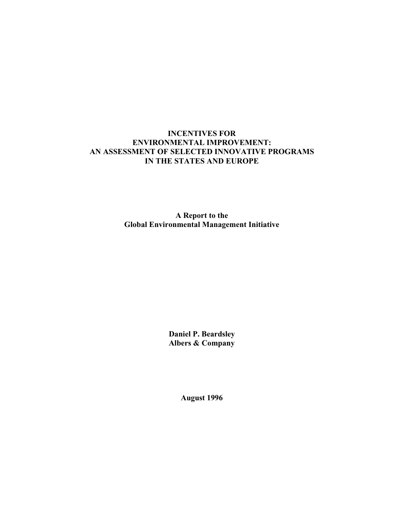## **INCENTIVES FOR ENVIRONMENTAL IMPROVEMENT: AN ASSESSMENT OF SELECTED INNOVATIVE PROGRAMS IN THE STATES AND EUROPE**

**A Report to the Global Environmental Management Initiative**

> **Daniel P. Beardsley Albers & Company**

> > **August 1996**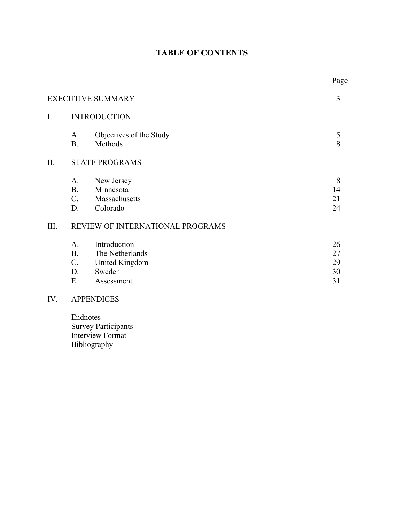## **TABLE OF CONTENTS**

|                          |                                                        |                                                                           | Page                       |  |
|--------------------------|--------------------------------------------------------|---------------------------------------------------------------------------|----------------------------|--|
| <b>EXECUTIVE SUMMARY</b> |                                                        |                                                                           | 3                          |  |
| I.                       | <b>INTRODUCTION</b>                                    |                                                                           |                            |  |
|                          | A.<br><b>B.</b>                                        | Objectives of the Study<br>Methods                                        | 5<br>8                     |  |
| II.                      | <b>STATE PROGRAMS</b>                                  |                                                                           |                            |  |
|                          | А.<br><b>B.</b><br>$C_{\cdot}$<br>D.                   | New Jersey<br>Minnesota<br>Massachusetts<br>Colorado                      | 8<br>14<br>21<br>24        |  |
| III.                     | REVIEW OF INTERNATIONAL PROGRAMS                       |                                                                           |                            |  |
|                          | A <sub>1</sub><br><b>B.</b><br>$C_{\cdot}$<br>D.<br>Ε. | Introduction<br>The Netherlands<br>United Kingdom<br>Sweden<br>Assessment | 26<br>27<br>29<br>30<br>31 |  |
| IV.                      |                                                        | <b>APPENDICES</b>                                                         |                            |  |

Endnotes Survey Participants Interview Format Bibliography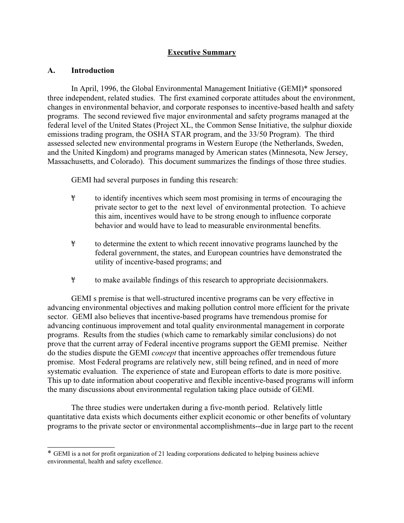## **Executive Summary**

## **A. Introduction**

 $\mathcal{L}_\text{max}$ 

In April, 1996, the Global Environmental Management Initiative (GEMI)\* sponsored three independent, related studies. The first examined corporate attitudes about the environment, changes in environmental behavior, and corporate responses to incentive-based health and safety programs. The second reviewed five major environmental and safety programs managed at the federal level of the United States (Project XL, the Common Sense Initiative, the sulphur dioxide emissions trading program, the OSHA STAR program, and the 33/50 Program). The third assessed selected new environmental programs in Western Europe (the Netherlands, Sweden, and the United Kingdom) and programs managed by American states (Minnesota, New Jersey, Massachusetts, and Colorado). This document summarizes the findings of those three studies.

GEMI had several purposes in funding this research:

- ¥ to identify incentives which seem most promising in terms of encouraging the private sector to get to the next level of environmental protection. To achieve this aim, incentives would have to be strong enough to influence corporate behavior and would have to lead to measurable environmental benefits.
- ¥ to determine the extent to which recent innovative programs launched by the federal government, the states, and European countries have demonstrated the utility of incentive-based programs; and
- ¥ to make available findings of this research to appropriate decisionmakers.

GEMI s premise is that well-structured incentive programs can be very effective in advancing environmental objectives and making pollution control more efficient for the private sector. GEMI also believes that incentive-based programs have tremendous promise for advancing continuous improvement and total quality environmental management in corporate programs. Results from the studies (which came to remarkably similar conclusions) do not prove that the current array of Federal incentive programs support the GEMI premise. Neither do the studies dispute the GEMI *concept* that incentive approaches offer tremendous future promise. Most Federal programs are relatively new, still being refined, and in need of more systematic evaluation. The experience of state and European efforts to date is more positive. This up to date information about cooperative and flexible incentive-based programs will inform the many discussions about environmental regulation taking place outside of GEMI.

The three studies were undertaken during a five-month period. Relatively little quantitative data exists which documents either explicit economic or other benefits of voluntary programs to the private sector or environmental accomplishments--due in large part to the recent

<sup>\*</sup> GEMI is a not for profit organization of 21 leading corporations dedicated to helping business achieve environmental, health and safety excellence.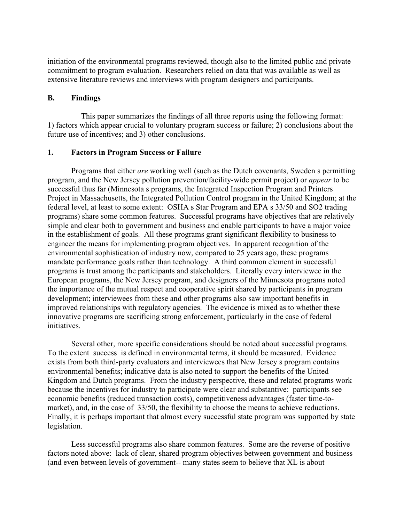initiation of the environmental programs reviewed, though also to the limited public and private commitment to program evaluation. Researchers relied on data that was available as well as extensive literature reviews and interviews with program designers and participants.

## **B. Findings**

 This paper summarizes the findings of all three reports using the following format: 1) factors which appear crucial to voluntary program success or failure; 2) conclusions about the future use of incentives; and 3) other conclusions.

## **1. Factors in Program Success or Failure**

Programs that either *are* working well (such as the Dutch covenants, Sweden s permitting program, and the New Jersey pollution prevention/facility-wide permit project) or *appear* to be successful thus far (Minnesota s programs, the Integrated Inspection Program and Printers Project in Massachusetts, the Integrated Pollution Control program in the United Kingdom; at the federal level, at least to some extent: OSHA s Star Program and EPA s 33/50 and SO2 trading programs) share some common features. Successful programs have objectives that are relatively simple and clear both to government and business and enable participants to have a major voice in the establishment of goals. All these programs grant significant flexibility to business to engineer the means for implementing program objectives. In apparent recognition of the environmental sophistication of industry now, compared to 25 years ago, these programs mandate performance goals rather than technology. A third common element in successful programs is trust among the participants and stakeholders. Literally every interviewee in the European programs, the New Jersey program, and designers of the Minnesota programs noted the importance of the mutual respect and cooperative spirit shared by participants in program development; interviewees from these and other programs also saw important benefits in improved relationships with regulatory agencies. The evidence is mixed as to whether these innovative programs are sacrificing strong enforcement, particularly in the case of federal initiatives.

Several other, more specific considerations should be noted about successful programs. To the extent success is defined in environmental terms, it should be measured. Evidence exists from both third-party evaluators and interviewees that New Jersey s program contains environmental benefits; indicative data is also noted to support the benefits of the United Kingdom and Dutch programs. From the industry perspective, these and related programs work because the incentives for industry to participate were clear and substantive: participants see economic benefits (reduced transaction costs), competitiveness advantages (faster time-tomarket), and, in the case of 33/50, the flexibility to choose the means to achieve reductions. Finally, it is perhaps important that almost every successful state program was supported by state legislation.

Less successful programs also share common features. Some are the reverse of positive factors noted above: lack of clear, shared program objectives between government and business (and even between levels of government-- many states seem to believe that XL is about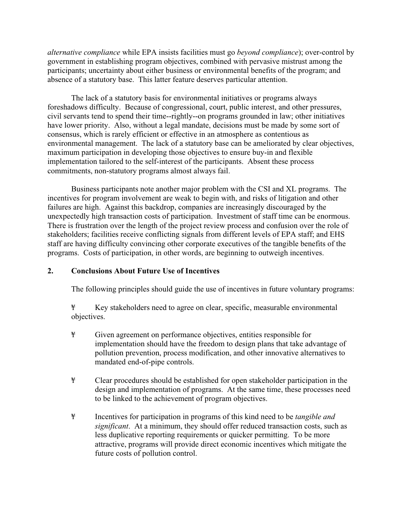*alternative compliance* while EPA insists facilities must go *beyond compliance*); over-control by government in establishing program objectives, combined with pervasive mistrust among the participants; uncertainty about either business or environmental benefits of the program; and absence of a statutory base. This latter feature deserves particular attention.

The lack of a statutory basis for environmental initiatives or programs always foreshadows difficulty. Because of congressional, court, public interest, and other pressures, civil servants tend to spend their time--rightly--on programs grounded in law; other initiatives have lower priority. Also, without a legal mandate, decisions must be made by some sort of consensus, which is rarely efficient or effective in an atmosphere as contentious as environmental management. The lack of a statutory base can be ameliorated by clear objectives, maximum participation in developing those objectives to ensure buy-in and flexible implementation tailored to the self-interest of the participants. Absent these process commitments, non-statutory programs almost always fail.

Business participants note another major problem with the CSI and XL programs. The incentives for program involvement are weak to begin with, and risks of litigation and other failures are high. Against this backdrop, companies are increasingly discouraged by the unexpectedly high transaction costs of participation. Investment of staff time can be enormous. There is frustration over the length of the project review process and confusion over the role of stakeholders; facilities receive conflicting signals from different levels of EPA staff; and EHS staff are having difficulty convincing other corporate executives of the tangible benefits of the programs. Costs of participation, in other words, are beginning to outweigh incentives.

## **2. Conclusions About Future Use of Incentives**

The following principles should guide the use of incentives in future voluntary programs:

¥ Key stakeholders need to agree on clear, specific, measurable environmental objectives.

- ¥ Given agreement on performance objectives, entities responsible for implementation should have the freedom to design plans that take advantage of pollution prevention, process modification, and other innovative alternatives to mandated end-of-pipe controls.
- ¥ Clear procedures should be established for open stakeholder participation in the design and implementation of programs. At the same time, these processes need to be linked to the achievement of program objectives.
- ¥ Incentives for participation in programs of this kind need to be *tangible and significant*. At a minimum, they should offer reduced transaction costs, such as less duplicative reporting requirements or quicker permitting. To be more attractive, programs will provide direct economic incentives which mitigate the future costs of pollution control.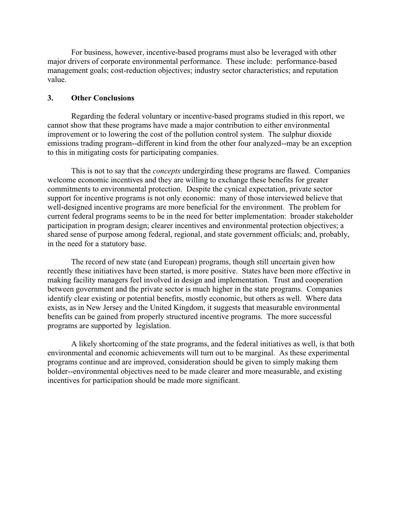For business, however, incentive-based programs must also be leveraged with other major drivers of corporate environmental performance. These include: performance-based management goals; cost-reduction objectives; industry sector characteristics; and reputation value.

## **3. Other Conclusions**

Regarding the federal voluntary or incentive-based programs studied in this report, we cannot show that these programs have made a major contribution to either environmental improvement or to lowering the cost of the pollution control system. The sulphur dioxide emissions trading program--different in kind from the other four analyzed--may be an exception to this in mitigating costs for participating companies.

This is not to say that the *concepts* undergirding these programs are flawed. Companies welcome economic incentives and they are willing to exchange these benefits for greater commitments to environmental protection. Despite the cynical expectation, private sector support for incentive programs is not only economic: many of those interviewed believe that well-designed incentive programs are more beneficial for the environment. The problem for current federal programs seems to be in the need for better implementation: broader stakeholder participation in program design; clearer incentives and environmental protection objectives; a shared sense of purpose among federal, regional, and state government officials; and, probably, in the need for a statutory base.

The record of new state (and European) programs, though still uncertain given how recently these initiatives have been started, is more positive. States have been more effective in making facility managers feel involved in design and implementation. Trust and cooperation between government and the private sector is much higher in the state programs. Companies identify clear existing or potential benefits, mostly economic, but others as well. Where data exists, as in New Jersey and the United Kingdom, it suggests that measurable environmental benefits can be gained from properly structured incentive programs. The more successful programs are supported by legislation.

A likely shortcoming of the state programs, and the federal initiatives as well, is that both environmental and economic achievements will turn out to be marginal. As these experimental programs continue and are improved, consideration should be given to simply making them bolder--environmental objectives need to be made clearer and more measurable, and existing incentives for participation should be made more significant.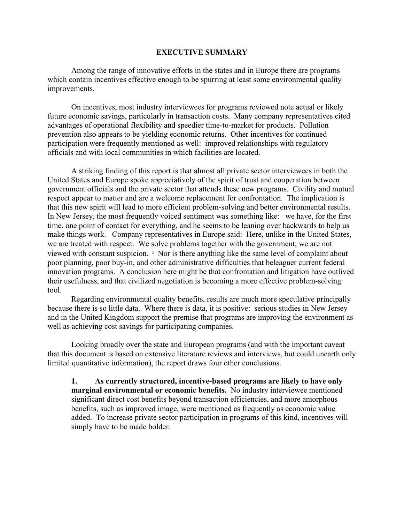#### **EXECUTIVE SUMMARY**

Among the range of innovative efforts in the states and in Europe there are programs which contain incentives effective enough to be spurring at least some environmental quality improvements.

On incentives, most industry interviewees for programs reviewed note actual or likely future economic savings, particularly in transaction costs. Many company representatives cited advantages of operational flexibility and speedier time-to-market for products. Pollution prevention also appears to be yielding economic returns. Other incentives for continued participation were frequently mentioned as well: improved relationships with regulatory officials and with local communities in which facilities are located.

A striking finding of this report is that almost all private sector interviewees in both the United States and Europe spoke appreciatively of the spirit of trust and cooperation between government officials and the private sector that attends these new programs. Civility and mutual respect appear to matter and are a welcome replacement for confrontation. The implication is that this new spirit will lead to more efficient problem-solving and better environmental results. In New Jersey, the most frequently voiced sentiment was something like: we have, for the first time, one point of contact for everything, and he seems to be leaning over backwards to help us make things work. Company representatives in Europe said: Here, unlike in the United States, we are treated with respect. We solve problems together with the government; we are not viewed with constant suspicion. <sup>i</sup> Nor is there anything like the same level of complaint about poor planning, poor buy-in, and other administrative difficulties that beleaguer current federal innovation programs. A conclusion here might be that confrontation and litigation have outlived their usefulness, and that civilized negotiation is becoming a more effective problem-solving tool.

Regarding environmental quality benefits, results are much more speculative principally because there is so little data. Where there is data, it is positive: serious studies in New Jersey and in the United Kingdom support the premise that programs are improving the environment as well as achieving cost savings for participating companies.

Looking broadly over the state and European programs (and with the important caveat that this document is based on extensive literature reviews and interviews, but could unearth only limited quantitative information), the report draws four other conclusions.

**1. As currently structured, incentive-based programs are likely to have only marginal environmental or economic benefits.** No industry interviewee mentioned significant direct cost benefits beyond transaction efficiencies, and more amorphous benefits, such as improved image, were mentioned as frequently as economic value added. To increase private sector participation in programs of this kind, incentives will simply have to be made bolder.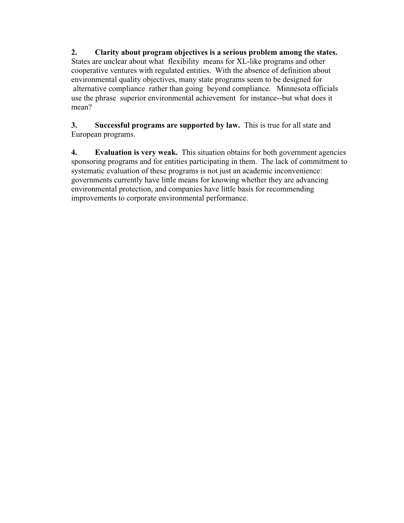**2. Clarity about program objectives is a serious problem among the states.** States are unclear about what flexibility means for XL-like programs and other cooperative ventures with regulated entities. With the absence of definition about environmental quality objectives, many state programs seem to be designed for alternative compliance rather than going beyond compliance. Minnesota officials use the phrase superior environmental achievement for instance--but what does it mean?

**3. Successful programs are supported by law.** This is true for all state and European programs.

**4. Evaluation is very weak.** This situation obtains for both government agencies sponsoring programs and for entities participating in them. The lack of commitment to systematic evaluation of these programs is not just an academic inconvenience: governments currently have little means for knowing whether they are advancing environmental protection, and companies have little basis for recommending improvements to corporate environmental performance.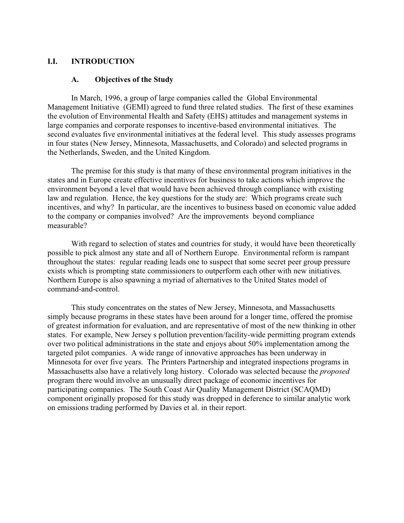## **I.I. INTRODUCTION**

#### **A. Objectives of the Study**

In March, 1996, a group of large companies called the Global Environmental Management Initiative (GEMI) agreed to fund three related studies. The first of these examines the evolution of Environmental Health and Safety (EHS) attitudes and management systems in large companies and corporate responses to incentive-based environmental initiatives. The second evaluates five environmental initiatives at the federal level. This study assesses programs in four states (New Jersey, Minnesota, Massachusetts, and Colorado) and selected programs in the Netherlands, Sweden, and the United Kingdom.

The premise for this study is that many of these environmental program initiatives in the states and in Europe create effective incentives for business to take actions which improve the environment beyond a level that would have been achieved through compliance with existing law and regulation. Hence, the key questions for the study are: Which programs create such incentives, and why? In particular, are the incentives to business based on economic value added to the company or companies involved? Are the improvements beyond compliance measurable?

With regard to selection of states and countries for study, it would have been theoretically possible to pick almost any state and all of Northern Europe. Environmental reform is rampant throughout the states: regular reading leads one to suspect that some secret peer group pressure exists which is prompting state commissioners to outperform each other with new initiatives. Northern Europe is also spawning a myriad of alternatives to the United States model of command-and-control.

This study concentrates on the states of New Jersey, Minnesota, and Massachusetts simply because programs in these states have been around for a longer time, offered the promise of greatest information for evaluation, and are representative of most of the new thinking in other states. For example, New Jersey s pollution prevention/facility-wide permitting program extends over two political administrations in the state and enjoys about 50% implementation among the targeted pilot companies. A wide range of innovative approaches has been underway in Minnesota for over five years. The Printers Partnership and integrated inspections programs in Massachusetts also have a relatively long history. Colorado was selected because the *proposed* program there would involve an unusually direct package of economic incentives for participating companies. The South Coast Air Quality Management District (SCAQMD) component originally proposed for this study was dropped in deference to similar analytic work on emissions trading performed by Davies et al. in their report.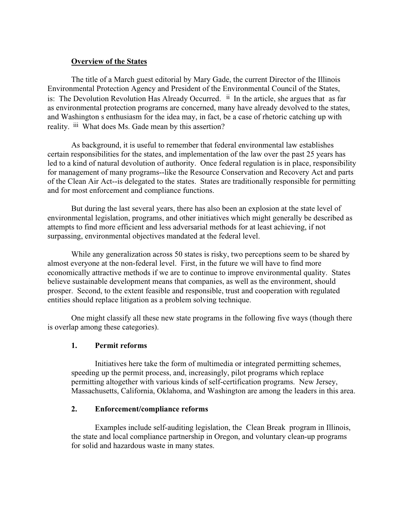## **Overview of the States**

The title of a March guest editorial by Mary Gade, the current Director of the Illinois Environmental Protection Agency and President of the Environmental Council of the States, is: The Devolution Revolution Has Already Occurred. <sup>ii</sup> In the article, she argues that as far as environmental protection programs are concerned, many have already devolved to the states, and Washington s enthusiasm for the idea may, in fact, be a case of rhetoric catching up with reality. iii What does Ms. Gade mean by this assertion?

As background, it is useful to remember that federal environmental law establishes certain responsibilities for the states, and implementation of the law over the past 25 years has led to a kind of natural devolution of authority. Once federal regulation is in place, responsibility for management of many programs--like the Resource Conservation and Recovery Act and parts of the Clean Air Act--is delegated to the states. States are traditionally responsible for permitting and for most enforcement and compliance functions.

But during the last several years, there has also been an explosion at the state level of environmental legislation, programs, and other initiatives which might generally be described as attempts to find more efficient and less adversarial methods for at least achieving, if not surpassing, environmental objectives mandated at the federal level.

While any generalization across 50 states is risky, two perceptions seem to be shared by almost everyone at the non-federal level. First, in the future we will have to find more economically attractive methods if we are to continue to improve environmental quality. States believe sustainable development means that companies, as well as the environment, should prosper. Second, to the extent feasible and responsible, trust and cooperation with regulated entities should replace litigation as a problem solving technique.

One might classify all these new state programs in the following five ways (though there is overlap among these categories).

## **1. Permit reforms**

Initiatives here take the form of multimedia or integrated permitting schemes, speeding up the permit process, and, increasingly, pilot programs which replace permitting altogether with various kinds of self-certification programs. New Jersey, Massachusetts, California, Oklahoma, and Washington are among the leaders in this area.

## **2. Enforcement/compliance reforms**

Examples include self-auditing legislation, the Clean Break program in Illinois, the state and local compliance partnership in Oregon, and voluntary clean-up programs for solid and hazardous waste in many states.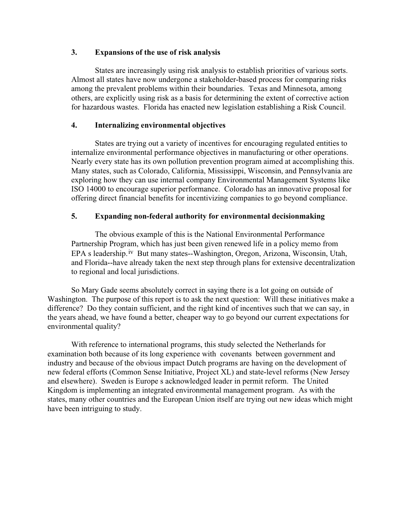## **3. Expansions of the use of risk analysis**

States are increasingly using risk analysis to establish priorities of various sorts. Almost all states have now undergone a stakeholder-based process for comparing risks among the prevalent problems within their boundaries. Texas and Minnesota, among others, are explicitly using risk as a basis for determining the extent of corrective action for hazardous wastes. Florida has enacted new legislation establishing a Risk Council.

## **4. Internalizing environmental objectives**

States are trying out a variety of incentives for encouraging regulated entities to internalize environmental performance objectives in manufacturing or other operations. Nearly every state has its own pollution prevention program aimed at accomplishing this. Many states, such as Colorado, California, Mississippi, Wisconsin, and Pennsylvania are exploring how they can use internal company Environmental Management Systems like ISO 14000 to encourage superior performance. Colorado has an innovative proposal for offering direct financial benefits for incentivizing companies to go beyond compliance.

## **5. Expanding non-federal authority for environmental decisionmaking**

The obvious example of this is the National Environmental Performance Partnership Program, which has just been given renewed life in a policy memo from EPA s leadership.<sup>iv</sup> But many states--Washington, Oregon, Arizona, Wisconsin, Utah, and Florida--have already taken the next step through plans for extensive decentralization to regional and local jurisdictions.

So Mary Gade seems absolutely correct in saying there is a lot going on outside of Washington. The purpose of this report is to ask the next question: Will these initiatives make a difference? Do they contain sufficient, and the right kind of incentives such that we can say, in the years ahead, we have found a better, cheaper way to go beyond our current expectations for environmental quality?

With reference to international programs, this study selected the Netherlands for examination both because of its long experience with covenants between government and industry and because of the obvious impact Dutch programs are having on the development of new federal efforts (Common Sense Initiative, Project XL) and state-level reforms (New Jersey and elsewhere). Sweden is Europe s acknowledged leader in permit reform. The United Kingdom is implementing an integrated environmental management program. As with the states, many other countries and the European Union itself are trying out new ideas which might have been intriguing to study.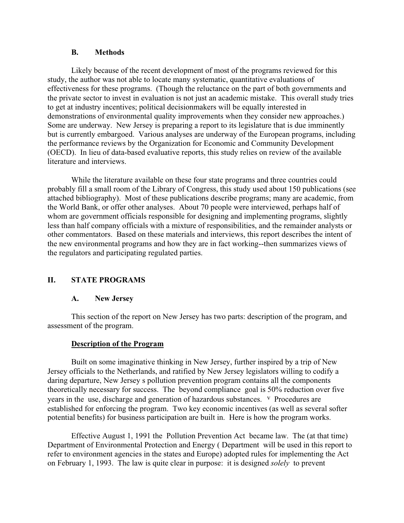## **B. Methods**

Likely because of the recent development of most of the programs reviewed for this study, the author was not able to locate many systematic, quantitative evaluations of effectiveness for these programs. (Though the reluctance on the part of both governments and the private sector to invest in evaluation is not just an academic mistake. This overall study tries to get at industry incentives; political decisionmakers will be equally interested in demonstrations of environmental quality improvements when they consider new approaches.) Some are underway. New Jersey is preparing a report to its legislature that is due imminently but is currently embargoed. Various analyses are underway of the European programs, including the performance reviews by the Organization for Economic and Community Development (OECD). In lieu of data-based evaluative reports, this study relies on review of the available literature and interviews.

While the literature available on these four state programs and three countries could probably fill a small room of the Library of Congress, this study used about 150 publications (see attached bibliography). Most of these publications describe programs; many are academic, from the World Bank, or offer other analyses. About 70 people were interviewed, perhaps half of whom are government officials responsible for designing and implementing programs, slightly less than half company officials with a mixture of responsibilities, and the remainder analysts or other commentators. Based on these materials and interviews, this report describes the intent of the new environmental programs and how they are in fact working--then summarizes views of the regulators and participating regulated parties.

## **II. STATE PROGRAMS**

## **A. New Jersey**

This section of the report on New Jersey has two parts: description of the program, and assessment of the program.

## **Description of the Program**

Built on some imaginative thinking in New Jersey, further inspired by a trip of New Jersey officials to the Netherlands, and ratified by New Jersey legislators willing to codify a daring departure, New Jersey s pollution prevention program contains all the components theoretically necessary for success. The beyond compliance goal is 50% reduction over five years in the use, discharge and generation of hazardous substances. v Procedures are established for enforcing the program. Two key economic incentives (as well as several softer potential benefits) for business participation are built in. Here is how the program works.

Effective August 1, 1991 the Pollution Prevention Act became law. The (at that time) Department of Environmental Protection and Energy ( Department will be used in this report to refer to environment agencies in the states and Europe) adopted rules for implementing the Act on February 1, 1993. The law is quite clear in purpose: it is designed *solely* to prevent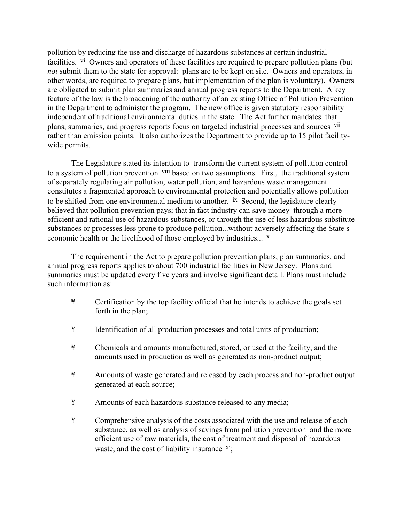pollution by reducing the use and discharge of hazardous substances at certain industrial facilities. <sup>vi</sup> Owners and operators of these facilities are required to prepare pollution plans (but *not* submit them to the state for approval: plans are to be kept on site. Owners and operators, in other words, are required to prepare plans, but implementation of the plan is voluntary). Owners are obligated to submit plan summaries and annual progress reports to the Department. A key feature of the law is the broadening of the authority of an existing Office of Pollution Prevention in the Department to administer the program. The new office is given statutory responsibility independent of traditional environmental duties in the state. The Act further mandates that plans, summaries, and progress reports focus on targeted industrial processes and sources vii rather than emission points. It also authorizes the Department to provide up to 15 pilot facilitywide permits.

The Legislature stated its intention to transform the current system of pollution control to a system of pollution prevention viii based on two assumptions. First, the traditional system of separately regulating air pollution, water pollution, and hazardous waste management constitutes a fragmented approach to environmental protection and potentially allows pollution to be shifted from one environmental medium to another. <sup>ix</sup> Second, the legislature clearly believed that pollution prevention pays; that in fact industry can save money through a more efficient and rational use of hazardous substances, or through the use of less hazardous substitute substances or processes less prone to produce pollution...without adversely affecting the State s economic health or the livelihood of those employed by industries...  $x$ 

The requirement in the Act to prepare pollution prevention plans, plan summaries, and annual progress reports applies to about 700 industrial facilities in New Jersey. Plans and summaries must be updated every five years and involve significant detail. Plans must include such information as:

- ¥ Certification by the top facility official that he intends to achieve the goals set forth in the plan;
- ¥ Identification of all production processes and total units of production;
- ¥ Chemicals and amounts manufactured, stored, or used at the facility, and the amounts used in production as well as generated as non-product output;
- ¥ Amounts of waste generated and released by each process and non-product output generated at each source;
- ¥ Amounts of each hazardous substance released to any media;
- ¥ Comprehensive analysis of the costs associated with the use and release of each substance, as well as analysis of savings from pollution prevention and the more efficient use of raw materials, the cost of treatment and disposal of hazardous waste, and the cost of liability insurance  $xi$ ;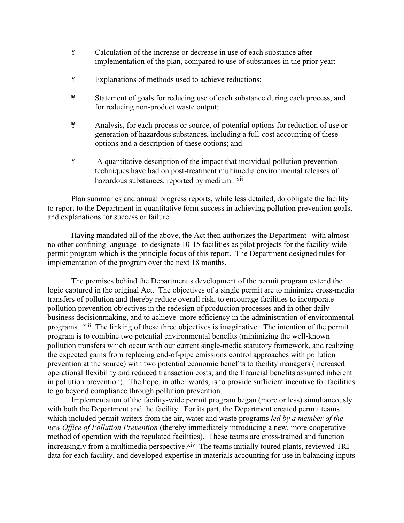- ¥ Calculation of the increase or decrease in use of each substance after implementation of the plan, compared to use of substances in the prior year;
- ¥ Explanations of methods used to achieve reductions;
- ¥ Statement of goals for reducing use of each substance during each process, and for reducing non-product waste output;
- ¥ Analysis, for each process or source, of potential options for reduction of use or generation of hazardous substances, including a full-cost accounting of these options and a description of these options; and
- ¥ A quantitative description of the impact that individual pollution prevention techniques have had on post-treatment multimedia environmental releases of hazardous substances, reported by medium. <sup>xii</sup>

Plan summaries and annual progress reports, while less detailed, do obligate the facility to report to the Department in quantitative form success in achieving pollution prevention goals, and explanations for success or failure.

Having mandated all of the above, the Act then authorizes the Department--with almost no other confining language--to designate 10-15 facilities as pilot projects for the facility-wide permit program which is the principle focus of this report. The Department designed rules for implementation of the program over the next 18 months.

The premises behind the Department s development of the permit program extend the logic captured in the original Act. The objectives of a single permit are to minimize cross-media transfers of pollution and thereby reduce overall risk, to encourage facilities to incorporate pollution prevention objectives in the redesign of production processes and in other daily business decisionmaking, and to achieve more efficiency in the administration of environmental programs. xiii The linking of these three objectives is imaginative. The intention of the permit program is to combine two potential environmental benefits (minimizing the well-known pollution transfers which occur with our current single-media statutory framework, and realizing the expected gains from replacing end-of-pipe emissions control approaches with pollution prevention at the source) with two potential economic benefits to facility managers (increased operational flexibility and reduced transaction costs, and the financial benefits assumed inherent in pollution prevention). The hope, in other words, is to provide sufficient incentive for facilities to go beyond compliance through pollution prevention.

Implementation of the facility-wide permit program began (more or less) simultaneously with both the Department and the facility. For its part, the Department created permit teams which included permit writers from the air, water and waste programs *led by a member of the new Office of Pollution Prevention* (thereby immediately introducing a new, more cooperative method of operation with the regulated facilities). These teams are cross-trained and function increasingly from a multimedia perspective.<sup>xiv</sup> The teams initially toured plants, reviewed TRI data for each facility, and developed expertise in materials accounting for use in balancing inputs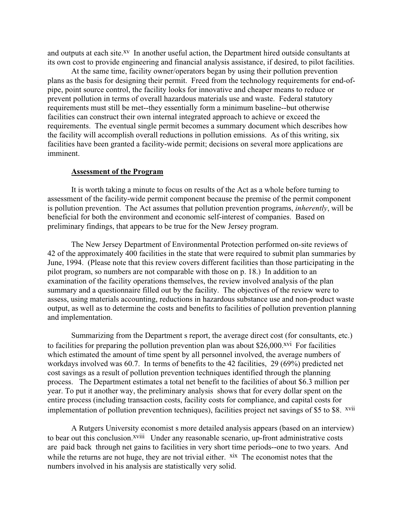and outputs at each site.<sup>xv</sup> In another useful action, the Department hired outside consultants at its own cost to provide engineering and financial analysis assistance, if desired, to pilot facilities.

At the same time, facility owner/operators began by using their pollution prevention plans as the basis for designing their permit. Freed from the technology requirements for end-ofpipe, point source control, the facility looks for innovative and cheaper means to reduce or prevent pollution in terms of overall hazardous materials use and waste. Federal statutory requirements must still be met--they essentially form a minimum baseline--but otherwise facilities can construct their own internal integrated approach to achieve or exceed the requirements. The eventual single permit becomes a summary document which describes how the facility will accomplish overall reductions in pollution emissions. As of this writing, six facilities have been granted a facility-wide permit; decisions on several more applications are imminent.

#### **Assessment of the Program**

It is worth taking a minute to focus on results of the Act as a whole before turning to assessment of the facility-wide permit component because the premise of the permit component is pollution prevention. The Act assumes that pollution prevention programs, *inherently*, will be beneficial for both the environment and economic self-interest of companies. Based on preliminary findings, that appears to be true for the New Jersey program.

The New Jersey Department of Environmental Protection performed on-site reviews of 42 of the approximately 400 facilities in the state that were required to submit plan summaries by June, 1994. (Please note that this review covers different facilities than those participating in the pilot program, so numbers are not comparable with those on p. 18.) In addition to an examination of the facility operations themselves, the review involved analysis of the plan summary and a questionnaire filled out by the facility. The objectives of the review were to assess, using materials accounting, reductions in hazardous substance use and non-product waste output, as well as to determine the costs and benefits to facilities of pollution prevention planning and implementation.

Summarizing from the Department s report, the average direct cost (for consultants, etc.) to facilities for preparing the pollution prevention plan was about  $$26,000$ .<sup>xvi</sup> For facilities which estimated the amount of time spent by all personnel involved, the average numbers of workdays involved was 60.7. In terms of benefits to the 42 facilities, 29 (69%) predicted net cost savings as a result of pollution prevention techniques identified through the planning process. The Department estimates a total net benefit to the facilities of about \$6.3 million per year. To put it another way, the preliminary analysis shows that for every dollar spent on the entire process (including transaction costs, facility costs for compliance, and capital costs for implementation of pollution prevention techniques), facilities project net savings of \$5 to \$8. xvii

A Rutgers University economist s more detailed analysis appears (based on an interview) to bear out this conclusion.<sup>xviii</sup> Under any reasonable scenario, up-front administrative costs are paid back through net gains to facilities in very short time periods--one to two years. And while the returns are not huge, they are not trivial either.  $x$ <sup>ix</sup> The economist notes that the numbers involved in his analysis are statistically very solid.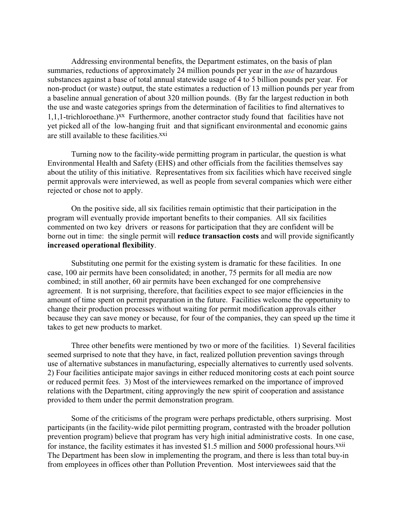Addressing environmental benefits, the Department estimates, on the basis of plan summaries, reductions of approximately 24 million pounds per year in the *use* of hazardous substances against a base of total annual statewide usage of 4 to 5 billion pounds per year. For non-product (or waste) output, the state estimates a reduction of 13 million pounds per year from a baseline annual generation of about 320 million pounds. (By far the largest reduction in both the use and waste categories springs from the determination of facilities to find alternatives to 1,1,1-trichloroethane.)xx Furthermore, another contractor study found that facilities have not yet picked all of the low-hanging fruit and that significant environmental and economic gains are still available to these facilities xxi

Turning now to the facility-wide permitting program in particular, the question is what Environmental Health and Safety (EHS) and other officials from the facilities themselves say about the utility of this initiative. Representatives from six facilities which have received single permit approvals were interviewed, as well as people from several companies which were either rejected or chose not to apply.

On the positive side, all six facilities remain optimistic that their participation in the program will eventually provide important benefits to their companies. All six facilities commented on two key drivers or reasons for participation that they are confident will be borne out in time: the single permit will **reduce transaction costs** and will provide significantly **increased operational flexibility**.

Substituting one permit for the existing system is dramatic for these facilities. In one case, 100 air permits have been consolidated; in another, 75 permits for all media are now combined; in still another, 60 air permits have been exchanged for one comprehensive agreement. It is not surprising, therefore, that facilities expect to see major efficiencies in the amount of time spent on permit preparation in the future. Facilities welcome the opportunity to change their production processes without waiting for permit modification approvals either because they can save money or because, for four of the companies, they can speed up the time it takes to get new products to market.

Three other benefits were mentioned by two or more of the facilities. 1) Several facilities seemed surprised to note that they have, in fact, realized pollution prevention savings through use of alternative substances in manufacturing, especially alternatives to currently used solvents. 2) Four facilities anticipate major savings in either reduced monitoring costs at each point source or reduced permit fees. 3) Most of the interviewees remarked on the importance of improved relations with the Department, citing approvingly the new spirit of cooperation and assistance provided to them under the permit demonstration program.

Some of the criticisms of the program were perhaps predictable, others surprising. Most participants (in the facility-wide pilot permitting program, contrasted with the broader pollution prevention program) believe that program has very high initial administrative costs. In one case, for instance, the facility estimates it has invested \$1.5 million and 5000 professional hours.<sup>xxii</sup> The Department has been slow in implementing the program, and there is less than total buy-in from employees in offices other than Pollution Prevention. Most interviewees said that the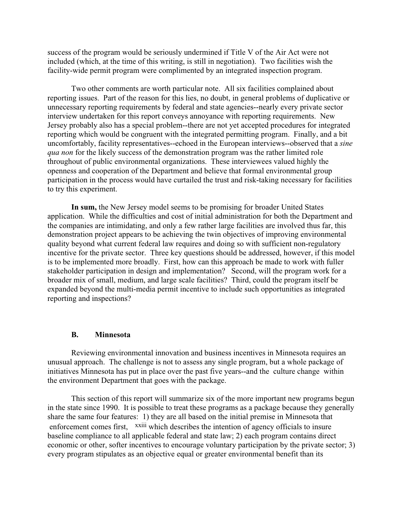success of the program would be seriously undermined if Title V of the Air Act were not included (which, at the time of this writing, is still in negotiation). Two facilities wish the facility-wide permit program were complimented by an integrated inspection program.

Two other comments are worth particular note. All six facilities complained about reporting issues. Part of the reason for this lies, no doubt, in general problems of duplicative or unnecessary reporting requirements by federal and state agencies--nearly every private sector interview undertaken for this report conveys annoyance with reporting requirements. New Jersey probably also has a special problem--there are not yet accepted procedures for integrated reporting which would be congruent with the integrated permitting program. Finally, and a bit uncomfortably, facility representatives--echoed in the European interviews--observed that a *sine qua non* for the likely success of the demonstration program was the rather limited role throughout of public environmental organizations. These interviewees valued highly the openness and cooperation of the Department and believe that formal environmental group participation in the process would have curtailed the trust and risk-taking necessary for facilities to try this experiment.

**In sum,** the New Jersey model seems to be promising for broader United States application. While the difficulties and cost of initial administration for both the Department and the companies are intimidating, and only a few rather large facilities are involved thus far, this demonstration project appears to be achieving the twin objectives of improving environmental quality beyond what current federal law requires and doing so with sufficient non-regulatory incentive for the private sector. Three key questions should be addressed, however, if this model is to be implemented more broadly. First, how can this approach be made to work with fuller stakeholder participation in design and implementation? Second, will the program work for a broader mix of small, medium, and large scale facilities? Third, could the program itself be expanded beyond the multi-media permit incentive to include such opportunities as integrated reporting and inspections?

#### **B. Minnesota**

Reviewing environmental innovation and business incentives in Minnesota requires an unusual approach. The challenge is not to assess any single program, but a whole package of initiatives Minnesota has put in place over the past five years--and the culture change within the environment Department that goes with the package.

This section of this report will summarize six of the more important new programs begun in the state since 1990. It is possible to treat these programs as a package because they generally share the same four features: 1) they are all based on the initial premise in Minnesota that enforcement comes first, <sup>xxiii</sup> which describes the intention of agency officials to insure baseline compliance to all applicable federal and state law; 2) each program contains direct economic or other, softer incentives to encourage voluntary participation by the private sector; 3) every program stipulates as an objective equal or greater environmental benefit than its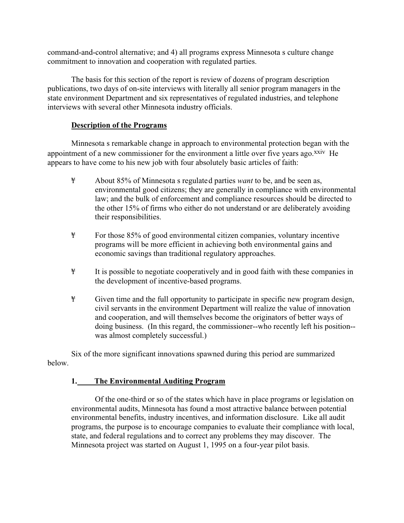command-and-control alternative; and 4) all programs express Minnesota s culture change commitment to innovation and cooperation with regulated parties.

The basis for this section of the report is review of dozens of program description publications, two days of on-site interviews with literally all senior program managers in the state environment Department and six representatives of regulated industries, and telephone interviews with several other Minnesota industry officials.

## **Description of the Programs**

Minnesota s remarkable change in approach to environmental protection began with the appointment of a new commissioner for the environment a little over five years ago.<sup>xxiv</sup> He appears to have come to his new job with four absolutely basic articles of faith:

- ¥ About 85% of Minnesota s regulated parties *want* to be, and be seen as, environmental good citizens; they are generally in compliance with environmental law; and the bulk of enforcement and compliance resources should be directed to the other 15% of firms who either do not understand or are deliberately avoiding their responsibilities.
- ¥ For those 85% of good environmental citizen companies, voluntary incentive programs will be more efficient in achieving both environmental gains and economic savings than traditional regulatory approaches.
- ¥ It is possible to negotiate cooperatively and in good faith with these companies in the development of incentive-based programs.
- ¥ Given time and the full opportunity to participate in specific new program design, civil servants in the environment Department will realize the value of innovation and cooperation, and will themselves become the originators of better ways of doing business. (In this regard, the commissioner--who recently left his position- was almost completely successful.)

Six of the more significant innovations spawned during this period are summarized below.

## **1. The Environmental Auditing Program**

Of the one-third or so of the states which have in place programs or legislation on environmental audits, Minnesota has found a most attractive balance between potential environmental benefits, industry incentives, and information disclosure. Like all audit programs, the purpose is to encourage companies to evaluate their compliance with local, state, and federal regulations and to correct any problems they may discover. The Minnesota project was started on August 1, 1995 on a four-year pilot basis.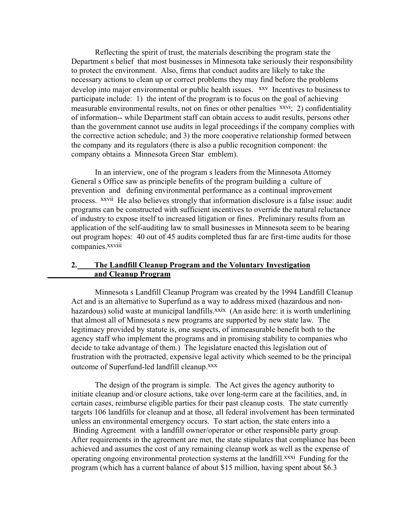Reflecting the spirit of trust, the materials describing the program state the Department s belief that most businesses in Minnesota take seriously their responsibility to protect the environment. Also, firms that conduct audits are likely to take the necessary actions to clean up or correct problems they may find before the problems develop into major environmental or public health issues. <sup>XXV</sup> Incentives to business to participate include: 1) the intent of the program is to focus on the goal of achieving measurable environmental results, not on fines or other penalties  $\frac{xxvi}{2}$  confidentiality of information-- while Department staff can obtain access to audit results, persons other than the government cannot use audits in legal proceedings if the company complies with the corrective action schedule; and 3) the more cooperative relationship formed between the company and its regulators (there is also a public recognition component: the company obtains a Minnesota Green Star emblem).

In an interview, one of the program s leaders from the Minnesota Attorney General s Office saw as principle benefits of the program building a culture of prevention and defining environmental performance as a continual improvement process. xxvii He also believes strongly that information disclosure is a false issue: audit programs can be constructed with sufficient incentives to override the natural reluctance of industry to expose itself to increased litigation or fines. Preliminary results from an application of the self-auditing law to small businesses in Minnesota seem to be bearing out program hopes: 40 out of 45 audits completed thus far are first-time audits for those companies.<sup>xxviii</sup>

## **2. The Landfill Cleanup Program and the Voluntary Investigation and Cleanup Program**

Minnesota s Landfill Cleanup Program was created by the 1994 Landfill Cleanup Act and is an alternative to Superfund as a way to address mixed (hazardous and nonhazardous) solid waste at municipal landfills.<sup>xxix</sup> (An aside here: it is worth underlining that almost all of Minnesota s new programs are supported by new state law. The legitimacy provided by statute is, one suspects, of immeasurable benefit both to the agency staff who implement the programs and in promising stability to companies who decide to take advantage of them.) The legislature enacted this legislation out of frustration with the protracted, expensive legal activity which seemed to be the principal outcome of Superfund-led landfill cleanup.xxx

The design of the program is simple. The Act gives the agency authority to initiate cleanup and/or closure actions, take over long-term care at the facilities, and, in certain cases, reimburse eligible parties for their past cleanup costs. The state currently targets 106 landfills for cleanup and at those, all federal involvement has been terminated unless an environmental emergency occurs. To start action, the state enters into a Binding Agreement with a landfill owner/operator or other responsible party group. After requirements in the agreement are met, the state stipulates that compliance has been achieved and assumes the cost of any remaining cleanup work as well as the expense of operating ongoing environmental protection systems at the landfill.<sup>xxxi</sup> Funding for the program (which has a current balance of about \$15 million, having spent about \$6.3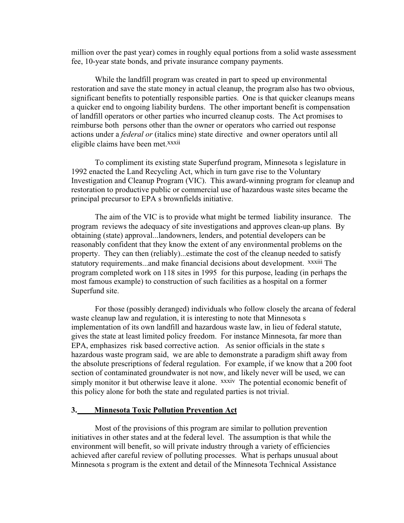million over the past year) comes in roughly equal portions from a solid waste assessment fee, 10-year state bonds, and private insurance company payments.

While the landfill program was created in part to speed up environmental restoration and save the state money in actual cleanup, the program also has two obvious, significant benefits to potentially responsible parties. One is that quicker cleanups means a quicker end to ongoing liability burdens. The other important benefit is compensation of landfill operators or other parties who incurred cleanup costs. The Act promises to reimburse both persons other than the owner or operators who carried out response actions under a *federal or* (italics mine) state directive and owner operators until all eligible claims have been met.<sup>xxxii</sup>

To compliment its existing state Superfund program, Minnesota s legislature in 1992 enacted the Land Recycling Act, which in turn gave rise to the Voluntary Investigation and Cleanup Program (VIC). This award-winning program for cleanup and restoration to productive public or commercial use of hazardous waste sites became the principal precursor to EPA s brownfields initiative.

The aim of the VIC is to provide what might be termed liability insurance. The program reviews the adequacy of site investigations and approves clean-up plans. By obtaining (state) approval...landowners, lenders, and potential developers can be reasonably confident that they know the extent of any environmental problems on the property. They can then (reliably)...estimate the cost of the cleanup needed to satisfy statutory requirements...and make financial decisions about development. *xxxiii* The program completed work on 118 sites in 1995 for this purpose, leading (in perhaps the most famous example) to construction of such facilities as a hospital on a former Superfund site.

For those (possibly deranged) individuals who follow closely the arcana of federal waste cleanup law and regulation, it is interesting to note that Minnesota s implementation of its own landfill and hazardous waste law, in lieu of federal statute, gives the state at least limited policy freedom. For instance Minnesota, far more than EPA, emphasizes risk based corrective action. As senior officials in the state s hazardous waste program said, we are able to demonstrate a paradigm shift away from the absolute prescriptions of federal regulation. For example, if we know that a 200 foot section of contaminated groundwater is not now, and likely never will be used, we can simply monitor it but otherwise leave it alone. *xxxiv* The potential economic benefit of this policy alone for both the state and regulated parties is not trivial.

### **3. Minnesota Toxic Pollution Prevention Act**

Most of the provisions of this program are similar to pollution prevention initiatives in other states and at the federal level. The assumption is that while the environment will benefit, so will private industry through a variety of efficiencies achieved after careful review of polluting processes. What is perhaps unusual about Minnesota s program is the extent and detail of the Minnesota Technical Assistance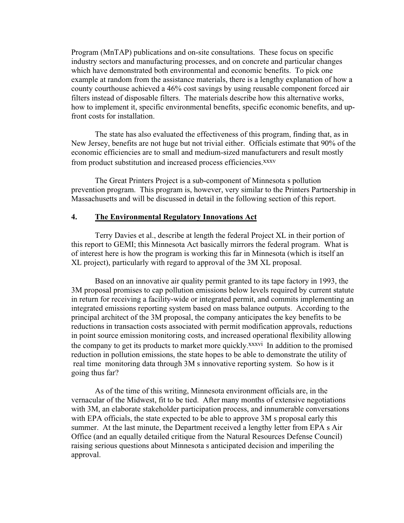Program (MnTAP) publications and on-site consultations. These focus on specific industry sectors and manufacturing processes, and on concrete and particular changes which have demonstrated both environmental and economic benefits. To pick one example at random from the assistance materials, there is a lengthy explanation of how a county courthouse achieved a 46% cost savings by using reusable component forced air filters instead of disposable filters. The materials describe how this alternative works, how to implement it, specific environmental benefits, specific economic benefits, and upfront costs for installation.

The state has also evaluated the effectiveness of this program, finding that, as in New Jersey, benefits are not huge but not trivial either. Officials estimate that 90% of the economic efficiencies are to small and medium-sized manufacturers and result mostly from product substitution and increased process efficiencies.<sup>XXXV</sup>

The Great Printers Project is a sub-component of Minnesota s pollution prevention program. This program is, however, very similar to the Printers Partnership in Massachusetts and will be discussed in detail in the following section of this report.

#### **4. The Environmental Regulatory Innovations Act**

Terry Davies et al., describe at length the federal Project XL in their portion of this report to GEMI; this Minnesota Act basically mirrors the federal program. What is of interest here is how the program is working this far in Minnesota (which is itself an XL project), particularly with regard to approval of the 3M XL proposal.

Based on an innovative air quality permit granted to its tape factory in 1993, the 3M proposal promises to cap pollution emissions below levels required by current statute in return for receiving a facility-wide or integrated permit, and commits implementing an integrated emissions reporting system based on mass balance outputs. According to the principal architect of the 3M proposal, the company anticipates the key benefits to be reductions in transaction costs associated with permit modification approvals, reductions in point source emission monitoring costs, and increased operational flexibility allowing the company to get its products to market more quickly.<sup>xxxvi</sup> In addition to the promised reduction in pollution emissions, the state hopes to be able to demonstrate the utility of real time monitoring data through 3M s innovative reporting system. So how is it going thus far?

As of the time of this writing, Minnesota environment officials are, in the vernacular of the Midwest, fit to be tied. After many months of extensive negotiations with 3M, an elaborate stakeholder participation process, and innumerable conversations with EPA officials, the state expected to be able to approve 3M s proposal early this summer. At the last minute, the Department received a lengthy letter from EPA s Air Office (and an equally detailed critique from the Natural Resources Defense Council) raising serious questions about Minnesota s anticipated decision and imperiling the approval.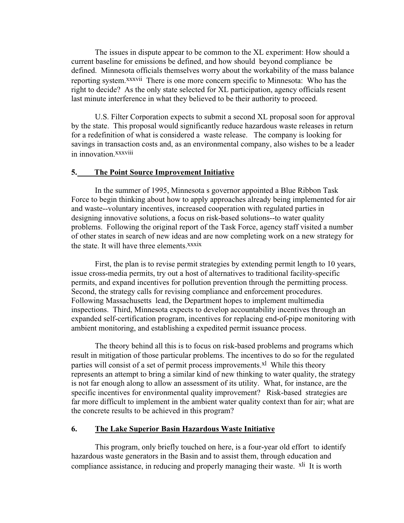The issues in dispute appear to be common to the XL experiment: How should a current baseline for emissions be defined, and how should beyond compliance be defined. Minnesota officials themselves worry about the workability of the mass balance reporting system.xxxvii There is one more concern specific to Minnesota: Who has the right to decide? As the only state selected for XL participation, agency officials resent last minute interference in what they believed to be their authority to proceed.

U.S. Filter Corporation expects to submit a second XL proposal soon for approval by the state. This proposal would significantly reduce hazardous waste releases in return for a redefinition of what is considered a waste release. The company is looking for savings in transaction costs and, as an environmental company, also wishes to be a leader in innovation.xxxviii

#### **5. The Point Source Improvement Initiative**

In the summer of 1995, Minnesota s governor appointed a Blue Ribbon Task Force to begin thinking about how to apply approaches already being implemented for air and waste--voluntary incentives, increased cooperation with regulated parties in designing innovative solutions, a focus on risk-based solutions--to water quality problems. Following the original report of the Task Force, agency staff visited a number of other states in search of new ideas and are now completing work on a new strategy for the state. It will have three elements.xxxix

First, the plan is to revise permit strategies by extending permit length to 10 years, issue cross-media permits, try out a host of alternatives to traditional facility-specific permits, and expand incentives for pollution prevention through the permitting process. Second, the strategy calls for revising compliance and enforcement procedures. Following Massachusetts lead, the Department hopes to implement multimedia inspections. Third, Minnesota expects to develop accountability incentives through an expanded self-certification program, incentives for replacing end-of-pipe monitoring with ambient monitoring, and establishing a expedited permit issuance process.

The theory behind all this is to focus on risk-based problems and programs which result in mitigation of those particular problems. The incentives to do so for the regulated parties will consist of a set of permit process improvements.<sup>xl</sup> While this theory represents an attempt to bring a similar kind of new thinking to water quality, the strategy is not far enough along to allow an assessment of its utility. What, for instance, are the specific incentives for environmental quality improvement? Risk-based strategies are far more difficult to implement in the ambient water quality context than for air; what are the concrete results to be achieved in this program?

## **6. The Lake Superior Basin Hazardous Waste Initiative**

This program, only briefly touched on here, is a four-year old effort to identify hazardous waste generators in the Basin and to assist them, through education and compliance assistance, in reducing and properly managing their waste. <sup>xli</sup> It is worth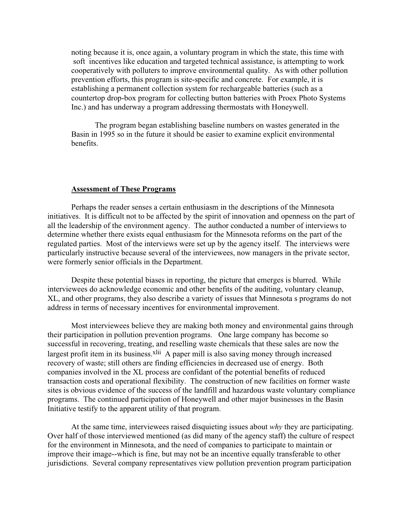noting because it is, once again, a voluntary program in which the state, this time with soft incentives like education and targeted technical assistance, is attempting to work cooperatively with polluters to improve environmental quality. As with other pollution prevention efforts, this program is site-specific and concrete. For example, it is establishing a permanent collection system for rechargeable batteries (such as a countertop drop-box program for collecting button batteries with Proex Photo Systems Inc.) and has underway a program addressing thermostats with Honeywell.

The program began establishing baseline numbers on wastes generated in the Basin in 1995 so in the future it should be easier to examine explicit environmental benefits.

#### **Assessment of These Programs**

Perhaps the reader senses a certain enthusiasm in the descriptions of the Minnesota initiatives. It is difficult not to be affected by the spirit of innovation and openness on the part of all the leadership of the environment agency. The author conducted a number of interviews to determine whether there exists equal enthusiasm for the Minnesota reforms on the part of the regulated parties. Most of the interviews were set up by the agency itself. The interviews were particularly instructive because several of the interviewees, now managers in the private sector, were formerly senior officials in the Department.

Despite these potential biases in reporting, the picture that emerges is blurred. While interviewees do acknowledge economic and other benefits of the auditing, voluntary cleanup, XL, and other programs, they also describe a variety of issues that Minnesota s programs do not address in terms of necessary incentives for environmental improvement.

Most interviewees believe they are making both money and environmental gains through their participation in pollution prevention programs. One large company has become so successful in recovering, treating, and reselling waste chemicals that these sales are now the largest profit item in its business.<sup>xlii</sup> A paper mill is also saving money through increased recovery of waste; still others are finding efficiencies in decreased use of energy. Both companies involved in the XL process are confidant of the potential benefits of reduced transaction costs and operational flexibility. The construction of new facilities on former waste sites is obvious evidence of the success of the landfill and hazardous waste voluntary compliance programs. The continued participation of Honeywell and other major businesses in the Basin Initiative testify to the apparent utility of that program.

At the same time, interviewees raised disquieting issues about *why* they are participating. Over half of those interviewed mentioned (as did many of the agency staff) the culture of respect for the environment in Minnesota, and the need of companies to participate to maintain or improve their image--which is fine, but may not be an incentive equally transferable to other jurisdictions. Several company representatives view pollution prevention program participation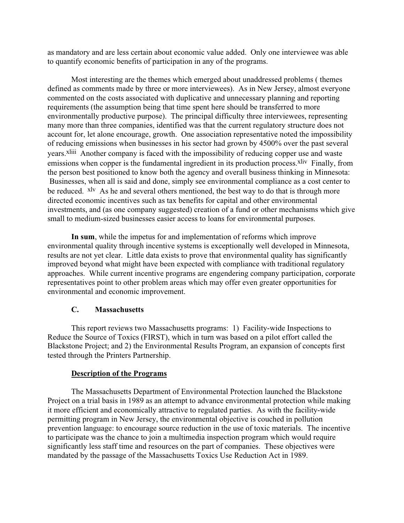as mandatory and are less certain about economic value added. Only one interviewee was able to quantify economic benefits of participation in any of the programs.

Most interesting are the themes which emerged about unaddressed problems ( themes defined as comments made by three or more interviewees). As in New Jersey, almost everyone commented on the costs associated with duplicative and unnecessary planning and reporting requirements (the assumption being that time spent here should be transferred to more environmentally productive purpose). The principal difficulty three interviewees, representing many more than three companies, identified was that the current regulatory structure does not account for, let alone encourage, growth. One association representative noted the impossibility of reducing emissions when businesses in his sector had grown by 4500% over the past several years.xliii Another company is faced with the impossibility of reducing copper use and waste emissions when copper is the fundamental ingredient in its production process.<sup>xliv</sup> Finally, from the person best positioned to know both the agency and overall business thinking in Minnesota: Businesses, when all is said and done, simply see environmental compliance as a cost center to be reduced. <sup>xlv</sup> As he and several others mentioned, the best way to do that is through more directed economic incentives such as tax benefits for capital and other environmental investments, and (as one company suggested) creation of a fund or other mechanisms which give small to medium-sized businesses easier access to loans for environmental purposes.

**In sum**, while the impetus for and implementation of reforms which improve environmental quality through incentive systems is exceptionally well developed in Minnesota, results are not yet clear. Little data exists to prove that environmental quality has significantly improved beyond what might have been expected with compliance with traditional regulatory approaches. While current incentive programs are engendering company participation, corporate representatives point to other problem areas which may offer even greater opportunities for environmental and economic improvement.

## **C. Massachusetts**

This report reviews two Massachusetts programs: 1) Facility-wide Inspections to Reduce the Source of Toxics (FIRST), which in turn was based on a pilot effort called the Blackstone Project; and 2) the Environmental Results Program, an expansion of concepts first tested through the Printers Partnership.

## **Description of the Programs**

The Massachusetts Department of Environmental Protection launched the Blackstone Project on a trial basis in 1989 as an attempt to advance environmental protection while making it more efficient and economically attractive to regulated parties. As with the facility-wide permitting program in New Jersey, the environmental objective is couched in pollution prevention language: to encourage source reduction in the use of toxic materials. The incentive to participate was the chance to join a multimedia inspection program which would require significantly less staff time and resources on the part of companies. These objectives were mandated by the passage of the Massachusetts Toxics Use Reduction Act in 1989.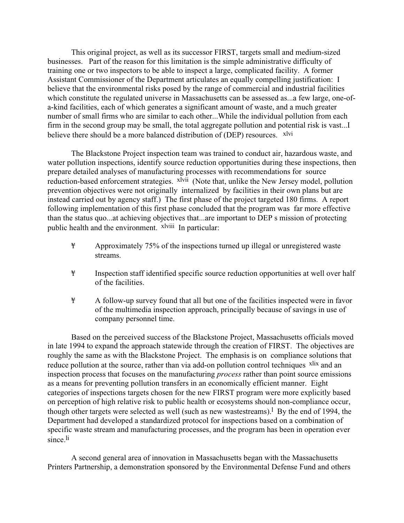This original project, as well as its successor FIRST, targets small and medium-sized businesses. Part of the reason for this limitation is the simple administrative difficulty of training one or two inspectors to be able to inspect a large, complicated facility. A former Assistant Commissioner of the Department articulates an equally compelling justification: I believe that the environmental risks posed by the range of commercial and industrial facilities which constitute the regulated universe in Massachusetts can be assessed as...a few large, one-ofa-kind facilities, each of which generates a significant amount of waste, and a much greater number of small firms who are similar to each other...While the individual pollution from each firm in the second group may be small, the total aggregate pollution and potential risk is vast...I believe there should be a more balanced distribution of (DEP) resources. <sup>xlvi</sup>

The Blackstone Project inspection team was trained to conduct air, hazardous waste, and water pollution inspections, identify source reduction opportunities during these inspections, then prepare detailed analyses of manufacturing processes with recommendations for source reduction-based enforcement strategies. <sup>xlvii</sup> (Note that, unlike the New Jersey model, pollution prevention objectives were not originally internalized by facilities in their own plans but are instead carried out by agency staff.) The first phase of the project targeted 180 firms. A report following implementation of this first phase concluded that the program was far more effective than the status quo...at achieving objectives that...are important to DEP s mission of protecting public health and the environment. xlviii In particular:

- ¥ Approximately 75% of the inspections turned up illegal or unregistered waste streams.
- ¥ Inspection staff identified specific source reduction opportunities at well over half of the facilities.
- ¥ A follow-up survey found that all but one of the facilities inspected were in favor of the multimedia inspection approach, principally because of savings in use of company personnel time.

Based on the perceived success of the Blackstone Project, Massachusetts officials moved in late 1994 to expand the approach statewide through the creation of FIRST. The objectives are roughly the same as with the Blackstone Project. The emphasis is on compliance solutions that reduce pollution at the source, rather than via add-on pollution control techniques <sup>xlix</sup> and an inspection process that focuses on the manufacturing *process* rather than point source emissions as a means for preventing pollution transfers in an economically efficient manner. Eight categories of inspections targets chosen for the new FIRST program were more explicitly based on perception of high relative risk to public health or ecosystems should non-compliance occur, though other targets were selected as well (such as new wastestreams).<sup>1</sup> By the end of 1994, the Department had developed a standardized protocol for inspections based on a combination of specific waste stream and manufacturing processes, and the program has been in operation ever since.li

A second general area of innovation in Massachusetts began with the Massachusetts Printers Partnership, a demonstration sponsored by the Environmental Defense Fund and others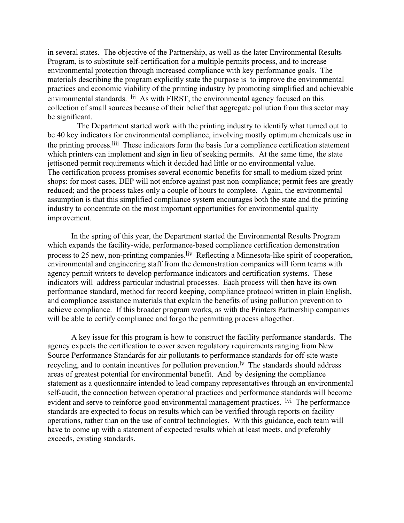in several states. The objective of the Partnership, as well as the later Environmental Results Program, is to substitute self-certification for a multiple permits process, and to increase environmental protection through increased compliance with key performance goals. The materials describing the program explicitly state the purpose is to improve the environmental practices and economic viability of the printing industry by promoting simplified and achievable environmental standards. <sup>lii</sup> As with FIRST, the environmental agency focused on this collection of small sources because of their belief that aggregate pollution from this sector may be significant.

 The Department started work with the printing industry to identify what turned out to be 40 key indicators for environmental compliance, involving mostly optimum chemicals use in the printing process.liii These indicators form the basis for a compliance certification statement which printers can implement and sign in lieu of seeking permits. At the same time, the state jettisoned permit requirements which it decided had little or no environmental value. The certification process promises several economic benefits for small to medium sized print shops: for most cases, DEP will not enforce against past non-compliance; permit fees are greatly reduced; and the process takes only a couple of hours to complete. Again, the environmental assumption is that this simplified compliance system encourages both the state and the printing industry to concentrate on the most important opportunities for environmental quality improvement.

In the spring of this year, the Department started the Environmental Results Program which expands the facility-wide, performance-based compliance certification demonstration process to 25 new, non-printing companies. <sup>liv</sup> Reflecting a Minnesota-like spirit of cooperation, environmental and engineering staff from the demonstration companies will form teams with agency permit writers to develop performance indicators and certification systems. These indicators will address particular industrial processes. Each process will then have its own performance standard, method for record keeping, compliance protocol written in plain English, and compliance assistance materials that explain the benefits of using pollution prevention to achieve compliance. If this broader program works, as with the Printers Partnership companies will be able to certify compliance and forgo the permitting process altogether.

A key issue for this program is how to construct the facility performance standards. The agency expects the certification to cover seven regulatory requirements ranging from New Source Performance Standards for air pollutants to performance standards for off-site waste recycling, and to contain incentives for pollution prevention.<sup> $\mathbf{v}$ </sup> The standards should address areas of greatest potential for environmental benefit. And by designing the compliance statement as a questionnaire intended to lead company representatives through an environmental self-audit, the connection between operational practices and performance standards will become evident and serve to reinforce good environmental management practices. <sup>Ivi</sup> The performance standards are expected to focus on results which can be verified through reports on facility operations, rather than on the use of control technologies. With this guidance, each team will have to come up with a statement of expected results which at least meets, and preferably exceeds, existing standards.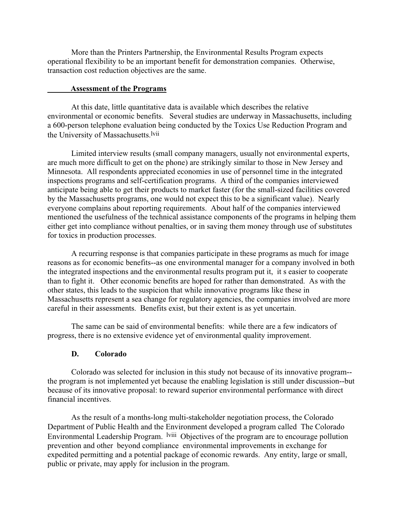More than the Printers Partnership, the Environmental Results Program expects operational flexibility to be an important benefit for demonstration companies. Otherwise, transaction cost reduction objectives are the same.

#### **Assessment of the Programs**

At this date, little quantitative data is available which describes the relative environmental or economic benefits. Several studies are underway in Massachusetts, including a 600-person telephone evaluation being conducted by the Toxics Use Reduction Program and the University of Massachusetts.<sup>lvii</sup>

Limited interview results (small company managers, usually not environmental experts, are much more difficult to get on the phone) are strikingly similar to those in New Jersey and Minnesota. All respondents appreciated economies in use of personnel time in the integrated inspections programs and self-certification programs. A third of the companies interviewed anticipate being able to get their products to market faster (for the small-sized facilities covered by the Massachusetts programs, one would not expect this to be a significant value). Nearly everyone complains about reporting requirements. About half of the companies interviewed mentioned the usefulness of the technical assistance components of the programs in helping them either get into compliance without penalties, or in saving them money through use of substitutes for toxics in production processes.

A recurring response is that companies participate in these programs as much for image reasons as for economic benefits--as one environmental manager for a company involved in both the integrated inspections and the environmental results program put it, it s easier to cooperate than to fight it. Other economic benefits are hoped for rather than demonstrated. As with the other states, this leads to the suspicion that while innovative programs like these in Massachusetts represent a sea change for regulatory agencies, the companies involved are more careful in their assessments. Benefits exist, but their extent is as yet uncertain.

The same can be said of environmental benefits: while there are a few indicators of progress, there is no extensive evidence yet of environmental quality improvement.

## **D. Colorado**

Colorado was selected for inclusion in this study not because of its innovative program- the program is not implemented yet because the enabling legislation is still under discussion--but because of its innovative proposal: to reward superior environmental performance with direct financial incentives.

As the result of a months-long multi-stakeholder negotiation process, the Colorado Department of Public Health and the Environment developed a program called The Colorado Environmental Leadership Program. <sup>Iviii</sup> Objectives of the program are to encourage pollution prevention and other beyond compliance environmental improvements in exchange for expedited permitting and a potential package of economic rewards. Any entity, large or small, public or private, may apply for inclusion in the program.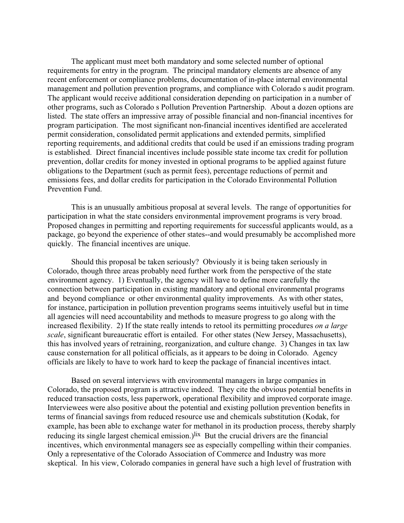The applicant must meet both mandatory and some selected number of optional requirements for entry in the program. The principal mandatory elements are absence of any recent enforcement or compliance problems, documentation of in-place internal environmental management and pollution prevention programs, and compliance with Colorado s audit program. The applicant would receive additional consideration depending on participation in a number of other programs, such as Colorado s Pollution Prevention Partnership. About a dozen options are listed. The state offers an impressive array of possible financial and non-financial incentives for program participation. The most significant non-financial incentives identified are accelerated permit consideration, consolidated permit applications and extended permits, simplified reporting requirements, and additional credits that could be used if an emissions trading program is established. Direct financial incentives include possible state income tax credit for pollution prevention, dollar credits for money invested in optional programs to be applied against future obligations to the Department (such as permit fees), percentage reductions of permit and emissions fees, and dollar credits for participation in the Colorado Environmental Pollution Prevention Fund.

This is an unusually ambitious proposal at several levels. The range of opportunities for participation in what the state considers environmental improvement programs is very broad. Proposed changes in permitting and reporting requirements for successful applicants would, as a package, go beyond the experience of other states--and would presumably be accomplished more quickly. The financial incentives are unique.

Should this proposal be taken seriously? Obviously it is being taken seriously in Colorado, though three areas probably need further work from the perspective of the state environment agency. 1) Eventually, the agency will have to define more carefully the connection between participation in existing mandatory and optional environmental programs and beyond compliance or other environmental quality improvements. As with other states, for instance, participation in pollution prevention programs seems intuitively useful but in time all agencies will need accountability and methods to measure progress to go along with the increased flexibility. 2) If the state really intends to retool its permitting procedures *on a large scale*, significant bureaucratic effort is entailed. For other states (New Jersey, Massachusetts), this has involved years of retraining, reorganization, and culture change. 3) Changes in tax law cause consternation for all political officials, as it appears to be doing in Colorado. Agency officials are likely to have to work hard to keep the package of financial incentives intact.

Based on several interviews with environmental managers in large companies in Colorado, the proposed program is attractive indeed. They cite the obvious potential benefits in reduced transaction costs, less paperwork, operational flexibility and improved corporate image. Interviewees were also positive about the potential and existing pollution prevention benefits in terms of financial savings from reduced resource use and chemicals substitution (Kodak, for example, has been able to exchange water for methanol in its production process, thereby sharply reducing its single largest chemical emission.)<sup>lix</sup> But the crucial drivers are the financial incentives, which environmental managers see as especially compelling within their companies. Only a representative of the Colorado Association of Commerce and Industry was more skeptical. In his view, Colorado companies in general have such a high level of frustration with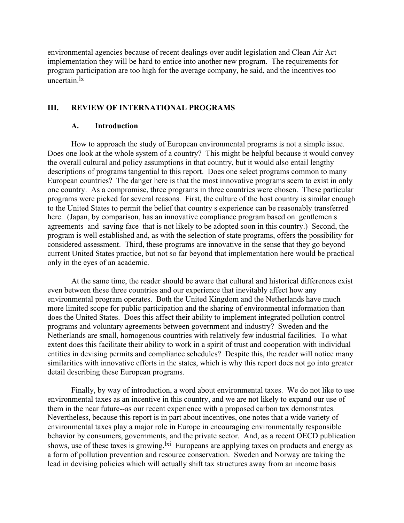environmental agencies because of recent dealings over audit legislation and Clean Air Act implementation they will be hard to entice into another new program. The requirements for program participation are too high for the average company, he said, and the incentives too uncertain.lx

## **III. REVIEW OF INTERNATIONAL PROGRAMS**

## **A. Introduction**

How to approach the study of European environmental programs is not a simple issue. Does one look at the whole system of a country? This might be helpful because it would convey the overall cultural and policy assumptions in that country, but it would also entail lengthy descriptions of programs tangential to this report. Does one select programs common to many European countries? The danger here is that the most innovative programs seem to exist in only one country. As a compromise, three programs in three countries were chosen. These particular programs were picked for several reasons. First, the culture of the host country is similar enough to the United States to permit the belief that country s experience can be reasonably transferred here. (Japan, by comparison, has an innovative compliance program based on gentlemen s agreements and saving face that is not likely to be adopted soon in this country.) Second, the program is well established and, as with the selection of state programs, offers the possibility for considered assessment. Third, these programs are innovative in the sense that they go beyond current United States practice, but not so far beyond that implementation here would be practical only in the eyes of an academic.

At the same time, the reader should be aware that cultural and historical differences exist even between these three countries and our experience that inevitably affect how any environmental program operates. Both the United Kingdom and the Netherlands have much more limited scope for public participation and the sharing of environmental information than does the United States. Does this affect their ability to implement integrated pollution control programs and voluntary agreements between government and industry? Sweden and the Netherlands are small, homogenous countries with relatively few industrial facilities. To what extent does this facilitate their ability to work in a spirit of trust and cooperation with individual entities in devising permits and compliance schedules? Despite this, the reader will notice many similarities with innovative efforts in the states, which is why this report does not go into greater detail describing these European programs.

Finally, by way of introduction, a word about environmental taxes. We do not like to use environmental taxes as an incentive in this country, and we are not likely to expand our use of them in the near future--as our recent experience with a proposed carbon tax demonstrates. Nevertheless, because this report is in part about incentives, one notes that a wide variety of environmental taxes play a major role in Europe in encouraging environmentally responsible behavior by consumers, governments, and the private sector. And, as a recent OECD publication shows, use of these taxes is growing.<sup>1xi</sup> Europeans are applying taxes on products and energy as a form of pollution prevention and resource conservation. Sweden and Norway are taking the lead in devising policies which will actually shift tax structures away from an income basis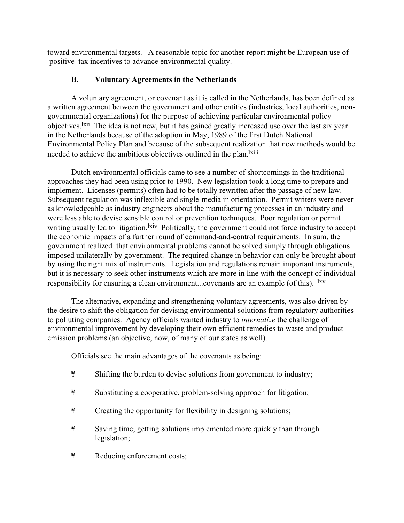toward environmental targets. A reasonable topic for another report might be European use of positive tax incentives to advance environmental quality.

## **B. Voluntary Agreements in the Netherlands**

A voluntary agreement, or covenant as it is called in the Netherlands, has been defined as a written agreement between the government and other entities (industries, local authorities, nongovernmental organizations) for the purpose of achieving particular environmental policy objectives.lxii The idea is not new, but it has gained greatly increased use over the last six year in the Netherlands because of the adoption in May, 1989 of the first Dutch National Environmental Policy Plan and because of the subsequent realization that new methods would be needed to achieve the ambitious objectives outlined in the plan.<sup>1xiii</sup>

Dutch environmental officials came to see a number of shortcomings in the traditional approaches they had been using prior to 1990. New legislation took a long time to prepare and implement. Licenses (permits) often had to be totally rewritten after the passage of new law. Subsequent regulation was inflexible and single-media in orientation. Permit writers were never as knowledgeable as industry engineers about the manufacturing processes in an industry and were less able to devise sensible control or prevention techniques. Poor regulation or permit writing usually led to litigation. <sup>Ixiv</sup> Politically, the government could not force industry to accept the economic impacts of a further round of command-and-control requirements. In sum, the government realized that environmental problems cannot be solved simply through obligations imposed unilaterally by government. The required change in behavior can only be brought about by using the right mix of instruments. Legislation and regulations remain important instruments, but it is necessary to seek other instruments which are more in line with the concept of individual responsibility for ensuring a clean environment...covenants are an example (of this). <sup>lxv</sup>

The alternative, expanding and strengthening voluntary agreements, was also driven by the desire to shift the obligation for devising environmental solutions from regulatory authorities to polluting companies. Agency officials wanted industry to *internalize* the challenge of environmental improvement by developing their own efficient remedies to waste and product emission problems (an objective, now, of many of our states as well).

Officials see the main advantages of the covenants as being:

- ¥ Shifting the burden to devise solutions from government to industry;
- ¥ Substituting a cooperative, problem-solving approach for litigation;
- ¥ Creating the opportunity for flexibility in designing solutions;
- ¥ Saving time; getting solutions implemented more quickly than through legislation;
- ¥ Reducing enforcement costs;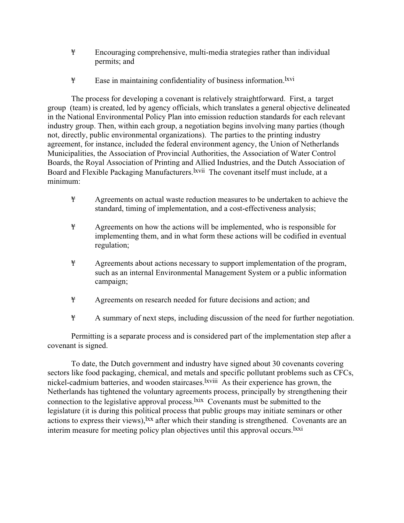- ¥ Encouraging comprehensive, multi-media strategies rather than individual permits; and
- ¥ Ease in maintaining confidentiality of business information.lxvi

The process for developing a covenant is relatively straightforward. First, a target group (team) is created, led by agency officials, which translates a general objective delineated in the National Environmental Policy Plan into emission reduction standards for each relevant industry group. Then, within each group, a negotiation begins involving many parties (though not, directly, public environmental organizations). The parties to the printing industry agreement, for instance, included the federal environment agency, the Union of Netherlands Municipalities, the Association of Provincial Authorities, the Association of Water Control Boards, the Royal Association of Printing and Allied Industries, and the Dutch Association of Board and Flexible Packaging Manufacturers. <sup>Ixvii</sup> The covenant itself must include, at a minimum:

- ¥ Agreements on actual waste reduction measures to be undertaken to achieve the standard, timing of implementation, and a cost-effectiveness analysis;
- ¥ Agreements on how the actions will be implemented, who is responsible for implementing them, and in what form these actions will be codified in eventual regulation;
- ¥ Agreements about actions necessary to support implementation of the program, such as an internal Environmental Management System or a public information campaign;
- ¥ Agreements on research needed for future decisions and action; and
- ¥ A summary of next steps, including discussion of the need for further negotiation.

Permitting is a separate process and is considered part of the implementation step after a covenant is signed.

To date, the Dutch government and industry have signed about 30 covenants covering sectors like food packaging, chemical, and metals and specific pollutant problems such as CFCs, nickel-cadmium batteries, and wooden staircases.<sup>lxviii</sup> As their experience has grown, the Netherlands has tightened the voluntary agreements process, principally by strengthening their connection to the legislative approval process. <sup>1xix</sup> Covenants must be submitted to the legislature (it is during this political process that public groups may initiate seminars or other actions to express their views), <sup>1xx</sup> after which their standing is strengthened. Covenants are an interim measure for meeting policy plan objectives until this approval occurs.<sup>1xxi</sup>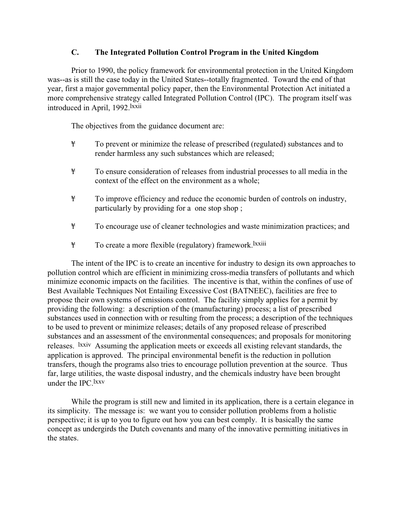## **C. The Integrated Pollution Control Program in the United Kingdom**

Prior to 1990, the policy framework for environmental protection in the United Kingdom was--as is still the case today in the United States--totally fragmented. Toward the end of that year, first a major governmental policy paper, then the Environmental Protection Act initiated a more comprehensive strategy called Integrated Pollution Control (IPC). The program itself was introduced in April, 1992.lxxii

The objectives from the guidance document are:

- ¥ To prevent or minimize the release of prescribed (regulated) substances and to render harmless any such substances which are released;
- ¥ To ensure consideration of releases from industrial processes to all media in the context of the effect on the environment as a whole;
- ¥ To improve efficiency and reduce the economic burden of controls on industry, particularly by providing for a one stop shop ;
- ¥ To encourage use of cleaner technologies and waste minimization practices; and
- ¥ To create a more flexible (regulatory) framework.lxxiii

The intent of the IPC is to create an incentive for industry to design its own approaches to pollution control which are efficient in minimizing cross-media transfers of pollutants and which minimize economic impacts on the facilities. The incentive is that, within the confines of use of Best Available Techniques Not Entailing Excessive Cost (BATNEEC), facilities are free to propose their own systems of emissions control. The facility simply applies for a permit by providing the following: a description of the (manufacturing) process; a list of prescribed substances used in connection with or resulting from the process; a description of the techniques to be used to prevent or minimize releases; details of any proposed release of prescribed substances and an assessment of the environmental consequences; and proposals for monitoring releases. lxxiv Assuming the application meets or exceeds all existing relevant standards, the application is approved. The principal environmental benefit is the reduction in pollution transfers, though the programs also tries to encourage pollution prevention at the source. Thus far, large utilities, the waste disposal industry, and the chemicals industry have been brought under the IPC.lxxv

While the program is still new and limited in its application, there is a certain elegance in its simplicity. The message is: we want you to consider pollution problems from a holistic perspective; it is up to you to figure out how you can best comply. It is basically the same concept as undergirds the Dutch covenants and many of the innovative permitting initiatives in the states.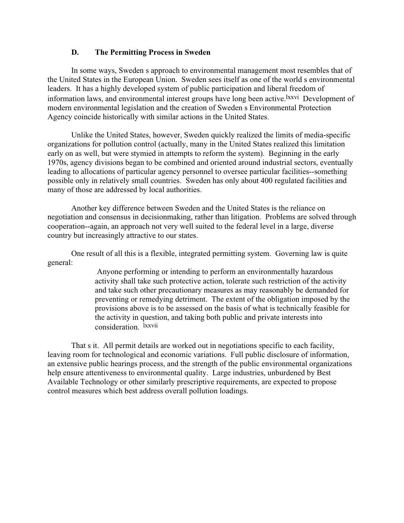## **D. The Permitting Process in Sweden**

In some ways, Sweden s approach to environmental management most resembles that of the United States in the European Union. Sweden sees itself as one of the world s environmental leaders. It has a highly developed system of public participation and liberal freedom of information laws, and environmental interest groups have long been active.<sup>1xxvi</sup> Development of modern environmental legislation and the creation of Sweden s Environmental Protection Agency coincide historically with similar actions in the United States.

Unlike the United States, however, Sweden quickly realized the limits of media-specific organizations for pollution control (actually, many in the United States realized this limitation early on as well, but were stymied in attempts to reform the system). Beginning in the early 1970s, agency divisions began to be combined and oriented around industrial sectors, eventually leading to allocations of particular agency personnel to oversee particular facilities--something possible only in relatively small countries. Sweden has only about 400 regulated facilities and many of those are addressed by local authorities.

Another key difference between Sweden and the United States is the reliance on negotiation and consensus in decisionmaking, rather than litigation. Problems are solved through cooperation--again, an approach not very well suited to the federal level in a large, diverse country but increasingly attractive to our states.

One result of all this is a flexible, integrated permitting system. Governing law is quite general:

> Anyone performing or intending to perform an environmentally hazardous activity shall take such protective action, tolerate such restriction of the activity and take such other precautionary measures as may reasonably be demanded for preventing or remedying detriment. The extent of the obligation imposed by the provisions above is to be assessed on the basis of what is technically feasible for the activity in question, and taking both public and private interests into consideration. lxxvii

That s it. All permit details are worked out in negotiations specific to each facility, leaving room for technological and economic variations. Full public disclosure of information, an extensive public hearings process, and the strength of the public environmental organizations help ensure attentiveness to environmental quality. Large industries, unburdened by Best Available Technology or other similarly prescriptive requirements, are expected to propose control measures which best address overall pollution loadings.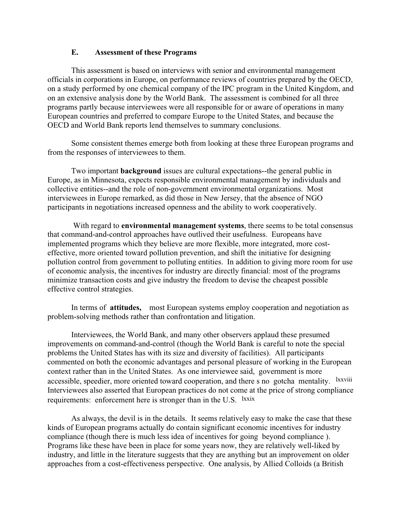## **E. Assessment of these Programs**

This assessment is based on interviews with senior and environmental management officials in corporations in Europe, on performance reviews of countries prepared by the OECD, on a study performed by one chemical company of the IPC program in the United Kingdom, and on an extensive analysis done by the World Bank. The assessment is combined for all three programs partly because interviewees were all responsible for or aware of operations in many European countries and preferred to compare Europe to the United States, and because the OECD and World Bank reports lend themselves to summary conclusions.

Some consistent themes emerge both from looking at these three European programs and from the responses of interviewees to them.

Two important **background** issues are cultural expectations--the general public in Europe, as in Minnesota, expects responsible environmental management by individuals and collective entities--and the role of non-government environmental organizations. Most interviewees in Europe remarked, as did those in New Jersey, that the absence of NGO participants in negotiations increased openness and the ability to work cooperatively.

 With regard to **environmental management systems**, there seems to be total consensus that command-and-control approaches have outlived their usefulness. Europeans have implemented programs which they believe are more flexible, more integrated, more costeffective, more oriented toward pollution prevention, and shift the initiative for designing pollution control from government to polluting entities. In addition to giving more room for use of economic analysis, the incentives for industry are directly financial: most of the programs minimize transaction costs and give industry the freedom to devise the cheapest possible effective control strategies.

In terms of **attitudes,** most European systems employ cooperation and negotiation as problem-solving methods rather than confrontation and litigation.

Interviewees, the World Bank, and many other observers applaud these presumed improvements on command-and-control (though the World Bank is careful to note the special problems the United States has with its size and diversity of facilities). All participants commented on both the economic advantages and personal pleasure of working in the European context rather than in the United States. As one interviewee said, government is more accessible, speedier, more oriented toward cooperation, and there s no gotcha mentality. lxxviii Interviewees also asserted that European practices do not come at the price of strong compliance requirements: enforcement here is stronger than in the U.S. lxxix

As always, the devil is in the details. It seems relatively easy to make the case that these kinds of European programs actually do contain significant economic incentives for industry compliance (though there is much less idea of incentives for going beyond compliance ). Programs like these have been in place for some years now, they are relatively well-liked by industry, and little in the literature suggests that they are anything but an improvement on older approaches from a cost-effectiveness perspective. One analysis, by Allied Colloids (a British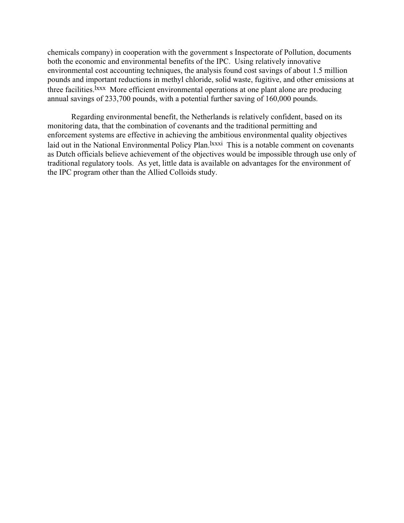chemicals company) in cooperation with the government s Inspectorate of Pollution, documents both the economic and environmental benefits of the IPC. Using relatively innovative environmental cost accounting techniques, the analysis found cost savings of about 1.5 million pounds and important reductions in methyl chloride, solid waste, fugitive, and other emissions at three facilities.<sup>Ixxx</sup> More efficient environmental operations at one plant alone are producing annual savings of 233,700 pounds, with a potential further saving of 160,000 pounds.

Regarding environmental benefit, the Netherlands is relatively confident, based on its monitoring data, that the combination of covenants and the traditional permitting and enforcement systems are effective in achieving the ambitious environmental quality objectives laid out in the National Environmental Policy Plan.<sup>lxxxi</sup> This is a notable comment on covenants as Dutch officials believe achievement of the objectives would be impossible through use only of traditional regulatory tools. As yet, little data is available on advantages for the environment of the IPC program other than the Allied Colloids study.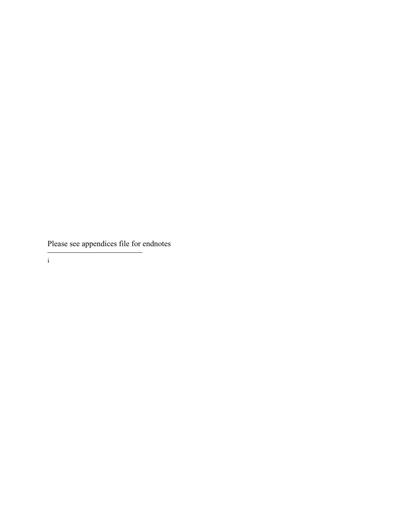Please see appendices file for endnotes

L. i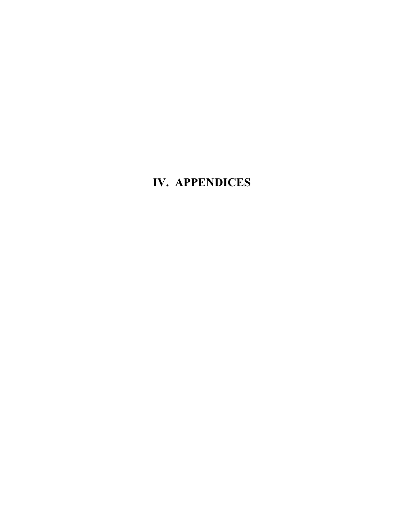# **IV. APPENDICES**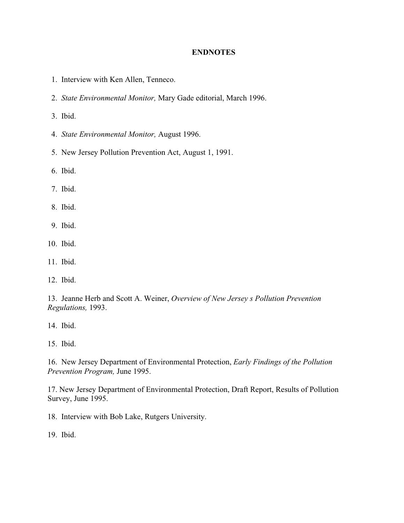## **ENDNOTES**

- 1. Interview with Ken Allen, Tenneco.
- 2. *State Environmental Monitor,* Mary Gade editorial, March 1996.
- 3. Ibid.
- 4. *State Environmental Monitor,* August 1996.
- 5. New Jersey Pollution Prevention Act, August 1, 1991.
- 6. Ibid.
- 7. Ibid.
- 8. Ibid.
- 9. Ibid.
- 10. Ibid.
- 11. Ibid.
- 12. Ibid.

13. Jeanne Herb and Scott A. Weiner, *Overview of New Jersey s Pollution Prevention Regulations,* 1993.

14. Ibid.

15. Ibid.

16. New Jersey Department of Environmental Protection, *Early Findings of the Pollution Prevention Program,* June 1995.

17. New Jersey Department of Environmental Protection, Draft Report, Results of Pollution Survey, June 1995.

18. Interview with Bob Lake, Rutgers University.

19. Ibid.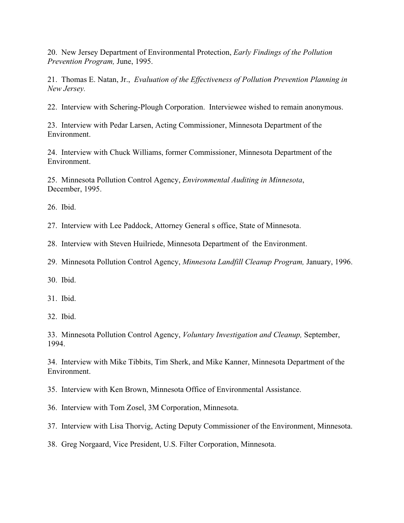20. New Jersey Department of Environmental Protection, *Early Findings of the Pollution Prevention Program,* June, 1995.

21. Thomas E. Natan, Jr., *Evaluation of the Effectiveness of Pollution Prevention Planning in New Jersey.*

22. Interview with Schering-Plough Corporation. Interviewee wished to remain anonymous.

23. Interview with Pedar Larsen, Acting Commissioner, Minnesota Department of the Environment.

24. Interview with Chuck Williams, former Commissioner, Minnesota Department of the Environment.

25. Minnesota Pollution Control Agency, *Environmental Auditing in Minnesota*, December, 1995.

26. Ibid.

27. Interview with Lee Paddock, Attorney General s office, State of Minnesota.

28. Interview with Steven Huilriede, Minnesota Department of the Environment.

29. Minnesota Pollution Control Agency, *Minnesota Landfill Cleanup Program,* January, 1996.

30. Ibid.

31. Ibid.

32. Ibid.

33. Minnesota Pollution Control Agency, *Voluntary Investigation and Cleanup,* September, 1994.

34. Interview with Mike Tibbits, Tim Sherk, and Mike Kanner, Minnesota Department of the Environment.

35. Interview with Ken Brown, Minnesota Office of Environmental Assistance.

36. Interview with Tom Zosel, 3M Corporation, Minnesota.

37. Interview with Lisa Thorvig, Acting Deputy Commissioner of the Environment, Minnesota.

38. Greg Norgaard, Vice President, U.S. Filter Corporation, Minnesota.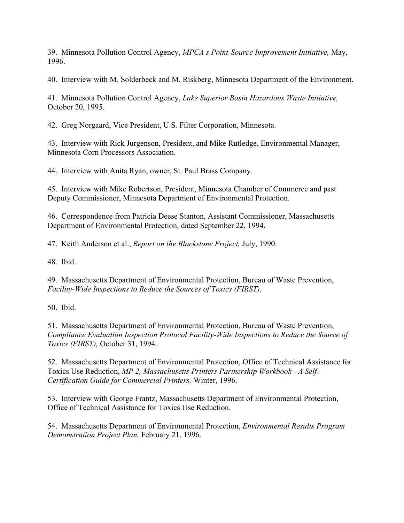39. Minnesota Pollution Control Agency, *MPCAs Point-Source Improvement Initiative,* May, 1996.

40. Interview with M. Solderbeck and M. Riskberg, Minnesota Department of the Environment.

41. Minnesota Pollution Control Agency, *Lake Superior Basin Hazardous Waste Initiative,* October 20, 1995.

42. Greg Norgaard, Vice President, U.S. Filter Corporation, Minnesota.

43. Interview with Rick Jurgenson, President, and Mike Rutledge, Environmental Manager, Minnesota Corn Processors Association.

44. Interview with Anita Ryan, owner, St. Paul Brass Company.

45. Interview with Mike Robertson, President, Minnesota Chamber of Commerce and past Deputy Commissioner, Minnesota Department of Environmental Protection.

46. Correspondence from Patricia Deese Stanton, Assistant Commissioner, Massachusetts Department of Environmental Protection, dated September 22, 1994.

47. Keith Anderson et al., *Report on the Blackstone Project,* July, 1990.

48. Ibid.

49. Massachusetts Department of Environmental Protection, Bureau of Waste Prevention, *Facility-Wide Inspections to Reduce the Sources of Toxics (FIRST).*

50. Ibid.

51. Massachusetts Department of Environmental Protection, Bureau of Waste Prevention, *Compliance Evaluation Inspection Protocol Facility-Wide Inspections to Reduce the Source of Toxics (FIRST),* October 31, 1994.

52. Massachusetts Department of Environmental Protection, Office of Technical Assistance for Toxics Use Reduction, *MP 2, Massachusetts Printers Partnership Workbook - A Self-Certification Guide for Commercial Printers,* Winter, 1996.

53. Interview with George Frantz, Massachusetts Department of Environmental Protection, Office of Technical Assistance for Toxics Use Reduction.

54. Massachusetts Department of Environmental Protection, *Environmental Results Program Demonstration Project Plan,* February 21, 1996.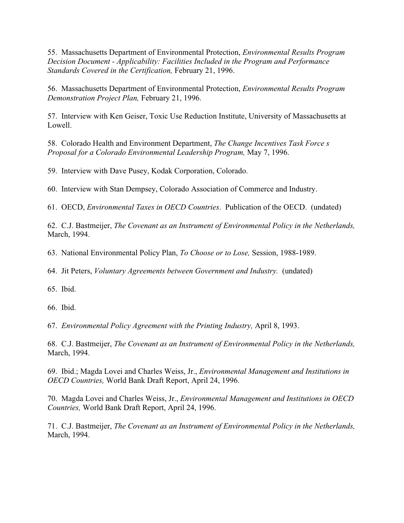55. Massachusetts Department of Environmental Protection, *Environmental Results Program Decision Document - Applicability: Facilities Included in the Program and Performance Standards Covered in the Certification,* February 21, 1996.

56. Massachusetts Department of Environmental Protection, *Environmental Results Program Demonstration Project Plan,* February 21, 1996.

57. Interview with Ken Geiser, Toxic Use Reduction Institute, University of Massachusetts at Lowell.

58. Colorado Health and Environment Department, *The Change Incentives Task Force s Proposal for a Colorado Environmental Leadership Program,* May 7, 1996.

59. Interview with Dave Pusey, Kodak Corporation, Colorado.

60. Interview with Stan Dempsey, Colorado Association of Commerce and Industry.

61. OECD, *Environmental Taxes in OECD Countries*. Publication of the OECD. (undated)

62. C.J. Bastmeijer, *The Covenant as an Instrument of Environmental Policy in the Netherlands,* March, 1994.

63. National Environmental Policy Plan, *To Choose or to Lose,* Session, 1988-1989.

64. Jit Peters, *Voluntary Agreements between Government and Industry.* (undated)

65. Ibid.

66. Ibid.

67. *Environmental Policy Agreement with the Printing Industry,* April 8, 1993.

68. C.J. Bastmeijer, *The Covenant as an Instrument of Environmental Policy in the Netherlands,* March, 1994.

69. Ibid.; Magda Lovei and Charles Weiss, Jr., *Environmental Management and Institutions in OECD Countries,* World Bank Draft Report, April 24, 1996.

70. Magda Lovei and Charles Weiss, Jr., *Environmental Management and Institutions in OECD Countries,* World Bank Draft Report, April 24, 1996.

71. C.J. Bastmeijer, *The Covenant as an Instrument of Environmental Policy in the Netherlands,* March, 1994.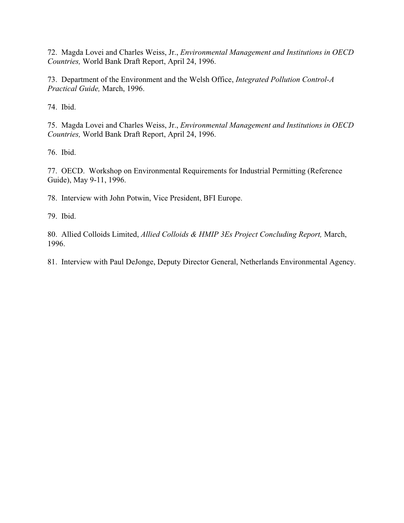72. Magda Lovei and Charles Weiss, Jr., *Environmental Management and Institutions in OECD Countries,* World Bank Draft Report, April 24, 1996.

73. Department of the Environment and the Welsh Office, *Integrated Pollution Control-A Practical Guide,* March, 1996.

74. Ibid.

75. Magda Lovei and Charles Weiss, Jr., *Environmental Management and Institutions in OECD Countries,* World Bank Draft Report, April 24, 1996.

76. Ibid.

77. OECD. Workshop on Environmental Requirements for Industrial Permitting (Reference Guide), May 9-11, 1996.

78. Interview with John Potwin, Vice President, BFI Europe.

79. Ibid.

80. Allied Colloids Limited, *Allied Colloids & HMIP 3Es Project Concluding Report,* March, 1996.

81. Interview with Paul DeJonge, Deputy Director General, Netherlands Environmental Agency.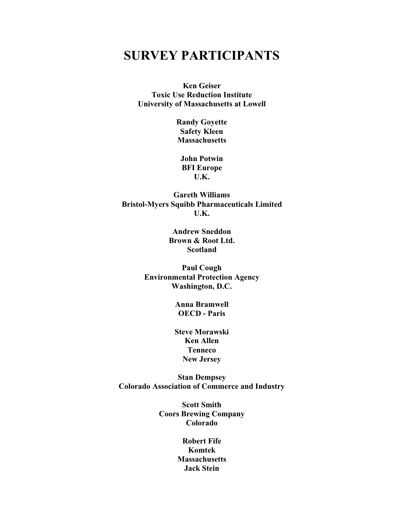## **SURVEY PARTICIPANTS**

**Ken Geiser Toxic Use Reduction Institute University of Massachusetts at Lowell**

> **Randy Goyette Safety Kleen Massachusetts**

**John Potwin BFI Europe U.K.**

**Gareth Williams Bristol-Myers Squibb Pharmaceuticals Limited U.K.**

> **Andrew Sneddon Brown & Root Ltd. Scotland**

**Paul Cough Environmental Protection Agency Washington, D.C.**

> **Anna Bramwell OECD - Paris**

**Steve Morawski Ken Allen Tenneco New Jersey**

**Stan Dempsey Colorado Association of Commerce and Industry**

> **Scott Smith Coors Brewing Company Colorado**

> > **Robert Fife Komtek Massachusetts Jack Stein**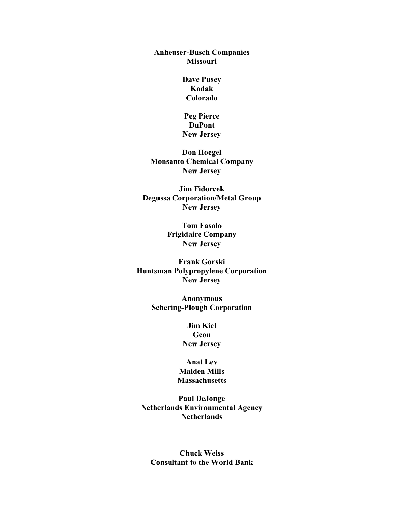## **Anheuser-Busch Companies Missouri**

**Dave Pusey Kodak Colorado**

**Peg Pierce DuPont New Jersey**

**Don Hoegel Monsanto Chemical Company New Jersey**

**Jim Fidorcek Degussa Corporation/Metal Group New Jersey**

> **Tom Fasolo Frigidaire Company New Jersey**

**Frank Gorski Huntsman Polypropylene Corporation New Jersey**

> **Anonymous Schering-Plough Corporation**

> > **Jim Kiel Geon New Jersey**

**Anat Lev Malden Mills Massachusetts**

**Paul DeJonge Netherlands Environmental Agency Netherlands**

**Chuck Weiss Consultant to the World Bank**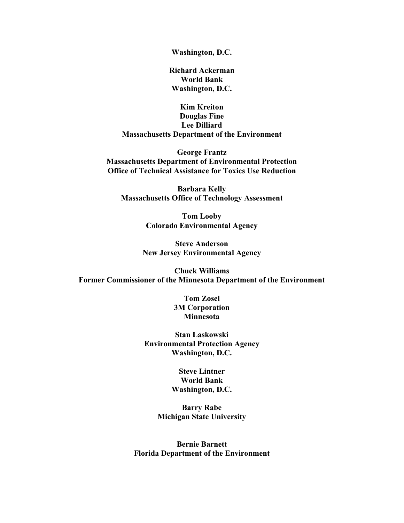**Washington, D.C.**

**Richard Ackerman World Bank Washington, D.C.**

**Kim Kreiton Douglas Fine Lee Dilliard Massachusetts Department of the Environment**

**George Frantz Massachusetts Department of Environmental Protection Office of Technical Assistance for Toxics Use Reduction**

**Barbara Kelly Massachusetts Office of Technology Assessment**

> **Tom Looby Colorado Environmental Agency**

**Steve Anderson New Jersey Environmental Agency**

**Chuck Williams Former Commissioner of the Minnesota Department of the Environment**

> **Tom Zosel 3M Corporation Minnesota**

**Stan Laskowski Environmental Protection Agency Washington, D.C.**

> **Steve Lintner World Bank Washington, D.C.**

**Barry Rabe Michigan State University**

**Bernie Barnett Florida Department of the Environment**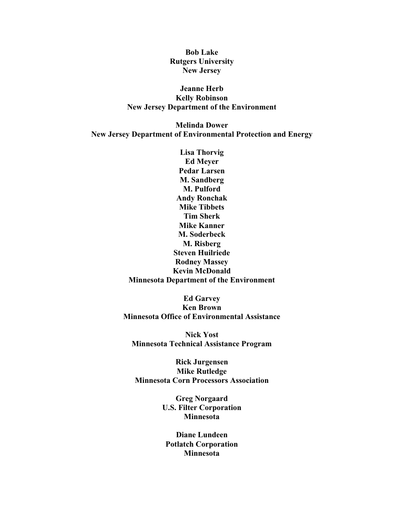**Bob Lake Rutgers University New Jersey**

## **Jeanne Herb Kelly Robinson New Jersey Department of the Environment**

**Melinda Dower New Jersey Department of Environmental Protection and Energy**

> **Lisa Thorvig Ed Meyer Pedar Larsen M. Sandberg M. Pulford Andy Ronchak Mike Tibbets Tim Sherk Mike Kanner M. Soderbeck M. Risberg Steven Huilriede Rodney Massey Kevin McDonald Minnesota Department of the Environment**

**Ed Garvey Ken Brown Minnesota Office of Environmental Assistance**

**Nick Yost Minnesota Technical Assistance Program**

**Rick Jurgensen Mike Rutledge Minnesota Corn Processors Association**

> **Greg Norgaard U.S. Filter Corporation Minnesota**

**Diane Lundeen Potlatch Corporation Minnesota**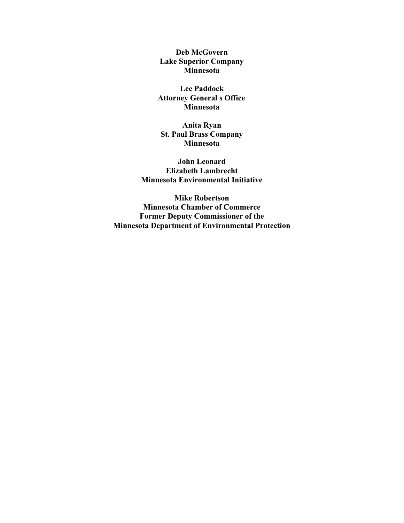**Deb McGovern Lake Superior Company Minnesota**

**Lee Paddock Attorney General s Office Minnesota**

**Anita Ryan St. Paul Brass Company Minnesota**

**John Leonard Elizabeth Lambrecht Minnesota Environmental Initiative**

**Mike Robertson Minnesota Chamber of Commerce Former Deputy Commissioner of the Minnesota Department of Environmental Protection**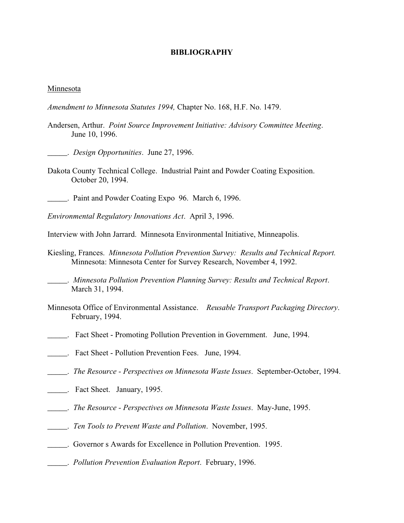#### **BIBLIOGRAPHY**

#### Minnesota

- *Amendment to Minnesota Statutes 1994,* Chapter No. 168, H.F. No. 1479.
- Andersen, Arthur. *Point Source Improvement Initiative: Advisory Committee Meeting*. June 10, 1996.
- \_\_\_\_\_. *Design Opportunities*. June 27, 1996.
- Dakota County Technical College. Industrial Paint and Powder Coating Exposition. October 20, 1994.
- . Paint and Powder Coating Expo 96. March 6, 1996.

*Environmental Regulatory Innovations Act*. April 3, 1996.

- Interview with John Jarrard. Minnesota Environmental Initiative, Minneapolis.
- Kiesling, Frances. *Minnesota Pollution Prevention Survey: Results and Technical Report.* Minnesota: Minnesota Center for Survey Research, November 4, 1992.
	- \_\_\_\_\_. *Minnesota Pollution Prevention Planning Survey: Results and Technical Report*. March 31, 1994.
- Minnesota Office of Environmental Assistance. *Reusable Transport Packaging Directory*. February, 1994.
- \_\_\_\_\_.Fact Sheet Promoting Pollution Prevention in Government. June, 1994.
- \_\_\_\_\_. Fact Sheet Pollution Prevention Fees. June, 1994.
- \_\_\_\_\_. *The Resource Perspectives on Minnesota Waste Issues*. September-October, 1994.
- \_\_\_\_\_. Fact Sheet. January, 1995.
- \_\_\_\_\_. *The Resource Perspectives on Minnesota Waste Issues*. May-June, 1995.
- \_\_\_\_\_. *Ten Tools to Prevent Waste and Pollution*. November, 1995.
- \_\_\_\_\_. Governor s Awards for Excellence in Pollution Prevention. 1995.
- \_\_\_\_\_. *Pollution Prevention Evaluation Report*. February, 1996.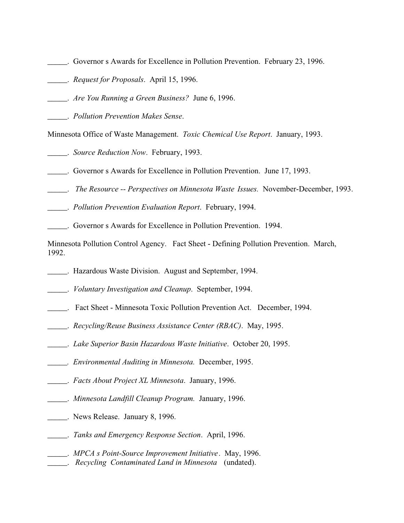- \_\_\_\_\_. Governor s Awards for Excellence in Pollution Prevention. February 23, 1996.
- \_\_\_\_\_. *Request for Proposals*. April 15, 1996.
- \_\_\_\_\_. *Are You Running a Green Business?* June 6, 1996.

\_\_\_\_\_. *Pollution Prevention Makes Sense*.

Minnesota Office of Waste Management. *Toxic Chemical Use Report*. January, 1993.

\_\_\_\_\_. *Source Reduction Now*. February, 1993.

\_\_\_\_\_. Governor s Awards for Excellence in Pollution Prevention. June 17, 1993.

\_\_\_\_\_. *The Resource -- Perspectives on Minnesota Waste Issues.* November-December, 1993.

\_\_\_\_\_. *Pollution Prevention Evaluation Report*. February, 1994.

\_\_\_\_\_. Governor s Awards for Excellence in Pollution Prevention. 1994.

Minnesota Pollution Control Agency. Fact Sheet - Defining Pollution Prevention. March, 1992.

- \_\_\_\_\_. Hazardous Waste Division. August and September, 1994.
- \_\_\_\_\_. *Voluntary Investigation and Cleanup*. September, 1994.
- \_\_\_\_\_. Fact Sheet Minnesota Toxic Pollution Prevention Act. December, 1994.
- \_\_\_\_\_. *Recycling/Reuse Business Assistance Center (RBAC)*. May, 1995.
- \_\_\_\_\_. *Lake Superior Basin Hazardous Waste Initiative*. October 20, 1995.
- *\_\_\_\_\_. Environmental Auditing in Minnesota.* December, 1995.
- \_\_\_\_\_. *Facts About Project XL Minnesota*. January, 1996.
- \_\_\_\_\_. *Minnesota Landfill Cleanup Program.* January, 1996.
- \_\_\_\_\_. News Release. January 8, 1996.
- \_\_\_\_\_. *Tanks and Emergency Response Section*. April, 1996.
- \_\_\_\_\_. *MPCA s Point-Source Improvement Initiative*. May, 1996. \_\_\_\_\_. *Recycling Contaminated Land in Minnesota* (undated).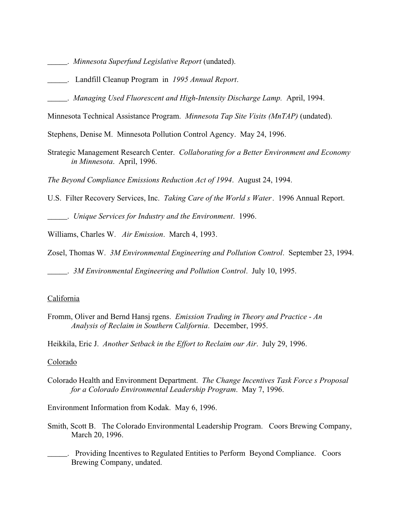- \_\_\_\_\_. *Minnesota Superfund Legislative Report* (undated).
- \_\_\_\_\_.Landfill Cleanup Program in *1995 Annual Report*.
- \_\_\_\_\_. *Managing Used Fluorescent and High-Intensity Discharge Lamp.* April, 1994.
- Minnesota Technical Assistance Program. *Minnesota Tap Site Visits (MnTAP)* (undated).

Stephens, Denise M. Minnesota Pollution Control Agency. May 24, 1996.

- Strategic Management Research Center. *Collaborating for a Better Environment and Economy in Minnesota*. April, 1996.
- *The Beyond Compliance Emissions Reduction Act of 1994*. August 24, 1994.
- U.S. Filter Recovery Services, Inc. *Taking Care of the World s Water*. 1996 Annual Report.

\_\_\_\_\_. *Unique Services for Industry and the Environment*. 1996.

Williams, Charles W. *Air Emission*. March 4, 1993.

Zosel, Thomas W. *3M Environmental Engineering and Pollution Control*. September 23, 1994.

\_\_\_\_\_. *3M Environmental Engineering and Pollution Control*. July 10, 1995.

#### California

Fromm, Oliver and Bernd Hansj rgens. *Emission Trading in Theory and Practice - An Analysis of Reclaim in Southern California*. December, 1995.

Heikkila, Eric J. *Another Setback in the Effort to Reclaim our Air*. July 29, 1996.

#### Colorado

Colorado Health and Environment Department. *The Change Incentives Task Force s Proposal for a Colorado Environmental Leadership Program*. May 7, 1996.

Environment Information from Kodak. May 6, 1996.

- Smith, Scott B. The Colorado Environmental Leadership Program. Coors Brewing Company, March 20, 1996.
- \_\_\_\_\_. Providing Incentives to Regulated Entities to Perform Beyond Compliance. Coors Brewing Company, undated.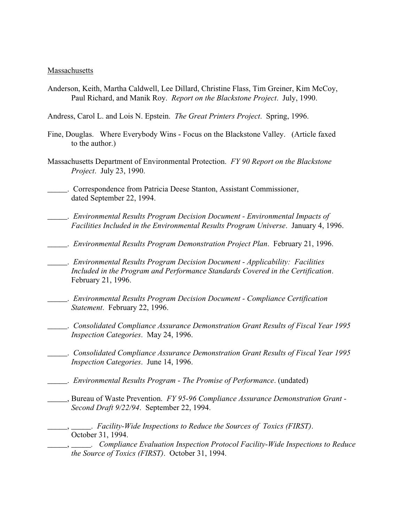#### Massachusetts

- Anderson, Keith, Martha Caldwell, Lee Dillard, Christine Flass, Tim Greiner, Kim McCoy, Paul Richard, and Manik Roy. *Report on the Blackstone Project*. July, 1990.
- Andress, Carol L. and Lois N. Epstein. *The Great Printers Project*. Spring, 1996.
- Fine, Douglas. Where Everybody Wins Focus on the Blackstone Valley. (Article faxed to the author.)
- Massachusetts Department of Environmental Protection. *FY 90 Report on the Blackstone Project*. July 23, 1990.
- \_\_\_\_\_. Correspondence from Patricia Deese Stanton, Assistant Commissioner, dated September 22, 1994.
- \_\_\_\_\_. *Environmental Results Program Decision Document Environmental Impacts of Facilities Included in the Environmental Results Program Universe*. January 4, 1996.
- \_\_\_\_\_. *Environmental Results Program Demonstration Project Plan*. February 21, 1996.

\_\_\_\_\_. *Environmental Results Program Decision Document - Applicability: Facilities Included in the Program and Performance Standards Covered in the Certification*. February 21, 1996.

- \_\_\_\_\_. *Environmental Results Program Decision Document Compliance Certification Statement*. February 22, 1996.
	- \_\_\_\_\_. *Consolidated Compliance Assurance Demonstration Grant Results of Fiscal Year 1995 Inspection Categories*. May 24, 1996.
- \_\_\_\_\_. *Consolidated Compliance Assurance Demonstration Grant Results of Fiscal Year 1995 Inspection Categories*. June 14, 1996.
- \_\_\_\_\_. *Environmental Results Program The Promise of Performance*. (undated)
- \_\_\_\_\_, Bureau of Waste Prevention. *FY 95-96 Compliance Assurance Demonstration Grant Second Draft 9/22/94*. September 22, 1994.

\_\_\_\_\_, \_\_\_\_\_. *Facility-Wide Inspections to Reduce the Sources of Toxics (FIRST)*. October 31, 1994.

\_\_\_\_\_, *\_\_\_\_\_. Compliance Evaluation Inspection Protocol Facility-Wide Inspections to Reduce the Source of Toxics (FIRST)*. October 31, 1994.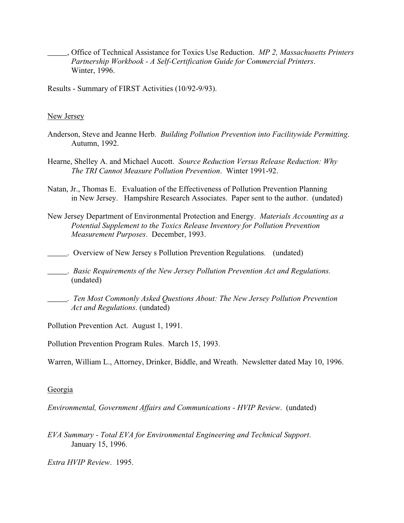- \_\_\_\_\_, Office of Technical Assistance for Toxics Use Reduction. *MP 2, Massachusetts Printers Partnership Workbook - A Self-Certification Guide for Commercial Printers*. Winter, 1996.
- Results Summary of FIRST Activities (10/92-9/93).

#### New Jersey

- Anderson, Steve and Jeanne Herb. *Building Pollution Prevention into Facilitywide Permitting*. Autumn, 1992.
- Hearne, Shelley A. and Michael Aucott. *Source Reduction Versus Release Reduction: Why The TRI Cannot Measure Pollution Prevention*. Winter 1991-92.
- Natan, Jr., Thomas E. Evaluation of the Effectiveness of Pollution Prevention Planning in New Jersey. Hampshire Research Associates. Paper sent to the author. (undated)
- New Jersey Department of Environmental Protection and Energy. *Materials Accounting as a Potential Supplement to the Toxics Release Inventory for Pollution Prevention Measurement Purposes*. December, 1993.
- \_\_\_\_\_. Overview of New Jersey s Pollution Prevention Regulations*.* (undated)
- \_\_\_\_\_. *Basic Requirements of the New Jersey Pollution Prevention Act and Regulations.* (undated)
- \_\_\_\_\_. *Ten Most Commonly Asked Questions About: The New Jersey Pollution Prevention Act and Regulations*. (undated)

Pollution Prevention Act. August 1, 1991.

Pollution Prevention Program Rules. March 15, 1993.

Warren, William L., Attorney, Drinker, Biddle, and Wreath. Newsletter dated May 10, 1996.

#### Georgia

*Environmental, Government Affairs and Communications - HVIP Review*. (undated)

*EVA Summary - Total EVA for Environmental Engineering and Technical Support*. January 15, 1996.

*Extra HVIP Review*. 1995.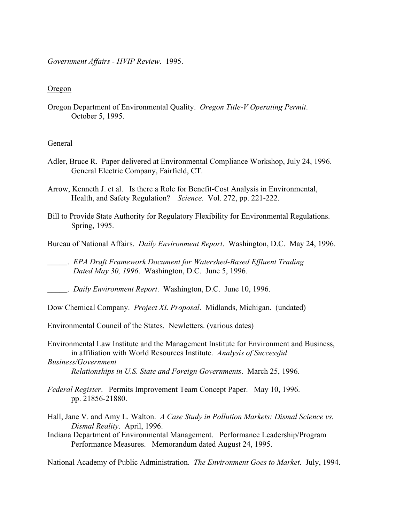*Government Affairs - HVIP Review*. 1995.

#### Oregon

Oregon Department of Environmental Quality. *Oregon Title-V Operating Permit*. October 5, 1995.

#### General

- Adler, Bruce R. Paper delivered at Environmental Compliance Workshop, July 24, 1996. General Electric Company, Fairfield, CT.
- Arrow, Kenneth J. et al. Is there a Role for Benefit-Cost Analysis in Environmental, Health, and Safety Regulation? *Science.* Vol. 272, pp. 221-222.
- Bill to Provide State Authority for Regulatory Flexibility for Environmental Regulations. Spring, 1995.
- Bureau of National Affairs. *Daily Environment Report*. Washington, D.C. May 24, 1996.

\_\_\_\_\_. *EPA Draft Framework Document for Watershed-Based Effluent Trading Dated May 30, 1996*. Washington, D.C. June 5, 1996.

\_\_\_\_\_. *Daily Environment Report*. Washington, D.C. June 10, 1996.

Dow Chemical Company. *Project XL Proposal*. Midlands, Michigan. (undated)

Environmental Council of the States. Newletters. (various dates)

Environmental Law Institute and the Management Institute for Environment and Business, in affiliation with World Resources Institute. *Analysis of Successful Business/Government*

*Relationships in U.S. State and Foreign Governments*. March 25, 1996.

- *Federal Register*. Permits Improvement Team Concept Paper. May 10, 1996. pp. 21856-21880.
- Hall, Jane V. and Amy L. Walton. *A Case Study in Pollution Markets: Dismal Science vs. Dismal Reality*. April, 1996.
- Indiana Department of Environmental Management. Performance Leadership/Program Performance Measures. Memorandum dated August 24, 1995.

National Academy of Public Administration. *The Environment Goes to Market*. July, 1994.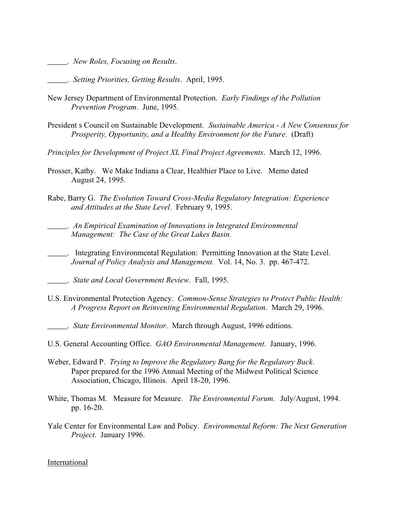\_\_\_\_\_. *New Roles, Focusing on Results*.

\_\_\_\_\_. *Setting Priorities, Getting Results*. April, 1995.

- New Jersey Department of Environmental Protection. *Early Findings of the Pollution Prevention Program*. June, 1995.
- President s Council on Sustainable Development. *Sustainable America A New Consensus for Prosperity, Opportunity, and a Healthy Environment for the Future*. (Draft)
- *Principles for Development of Project XL Final Project Agreements*. March 12, 1996.
- Prosser, Kathy. We Make Indiana a Clear, Healthier Place to Live. Memo dated August 24, 1995.
- Rabe, Barry G. *The Evolution Toward Cross-Media Regulatory Integration: Experience and Attitudes at the State Level*. February 9, 1995.

\_\_\_\_\_. *An Empirical Examination of Innovations in Integrated Environmental Management: The Case of the Great Lakes Basin.*

\_\_\_\_\_. Integrating Environmental Regulation: Permitting Innovation at the State Level. *Journal of Policy Analysis and Management.* Vol. 14, No. 3. pp. 467-472.

\_\_\_\_\_. *State and Local Government Review*. Fall, 1995.

- U.S. Environmental Protection Agency. *Common-Sense Strategies to Protect Public Health: A Progress Report on Reinventing Environmental Regulation*. March 29, 1996.
- \_\_\_\_\_. *State Environmental Monitor*. March through August, 1996 editions.
- U.S. General Accounting Office. *GAO Environmental Management*. January, 1996.
- Weber, Edward P. *Trying to Improve the Regulatory Bang for the Regulatory Buck*. Paper prepared for the 1996 Annual Meeting of the Midwest Political Science Association, Chicago, Illinois. April 18-20, 1996.
- White, Thomas M. Measure for Measure. *The Environmental Forum.* July/August, 1994. pp. 16-20.
- Yale Center for Environmental Law and Policy. *Environmental Reform: The Next Generation Project*. January 1996.

International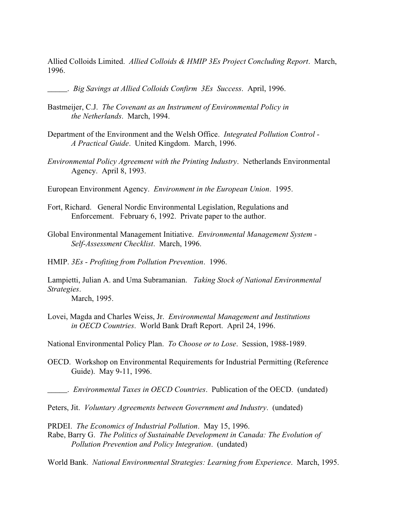Allied Colloids Limited. *Allied Colloids & HMIP 3Es Project Concluding Report*. March, 1996.

\_\_\_\_\_. *Big Savings at Allied Colloids Confirm 3Es Success*. April, 1996.

- Bastmeijer, C.J. *The Covenant as an Instrument of Environmental Policy in the Netherlands*. March, 1994.
- Department of the Environment and the Welsh Office. *Integrated Pollution Control - A Practical Guide*. United Kingdom. March, 1996.
- *Environmental Policy Agreement with the Printing Industry*. Netherlands Environmental Agency. April 8, 1993.
- European Environment Agency. *Environment in the European Union*. 1995.
- Fort, Richard. General Nordic Environmental Legislation, Regulations and Enforcement. February 6, 1992. Private paper to the author.
- Global Environmental Management Initiative. *Environmental Management System - Self-Assessment Checklist*. March, 1996.
- HMIP. *3Es Profiting from Pollution Prevention*. 1996.
- Lampietti, Julian A. and Uma Subramanian. *Taking Stock of National Environmental Strategies*.

March, 1995.

Lovei, Magda and Charles Weiss, Jr. *Environmental Management and Institutions in OECD Countries*. World Bank Draft Report. April 24, 1996.

National Environmental Policy Plan. *To Choose or to Lose*. Session, 1988-1989.

OECD. Workshop on Environmental Requirements for Industrial Permitting (Reference Guide). May 9-11, 1996.

\_\_\_\_\_. *Environmental Taxes in OECD Countries*. Publication of the OECD. (undated)

- Peters, Jit. *Voluntary Agreements between Government and Industry*. (undated)
- PRDEI. *The Economics of Industrial Pollution*. May 15, 1996.
- Rabe, Barry G. *The Politics of Sustainable Development in Canada: The Evolution of Pollution Prevention and Policy Integration*. (undated)

World Bank. *National Environmental Strategies: Learning from Experience*. March, 1995.